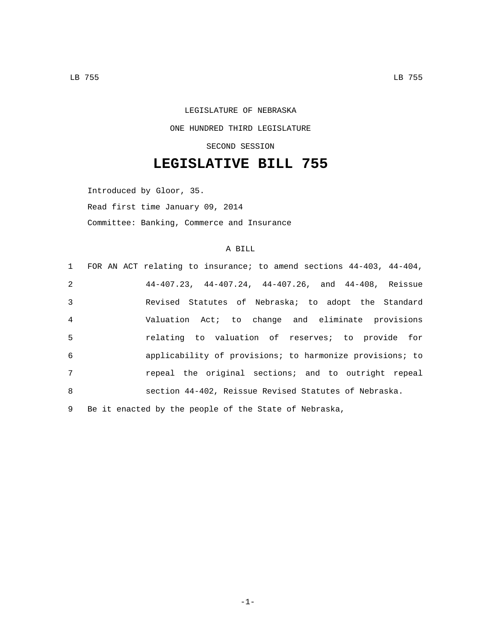LEGISLATURE OF NEBRASKA ONE HUNDRED THIRD LEGISLATURE SECOND SESSION

## **LEGISLATIVE BILL 755**

Introduced by Gloor, 35. Read first time January 09, 2014 Committee: Banking, Commerce and Insurance

## A BILL

|                 | 1 FOR AN ACT relating to insurance; to amend sections 44-403, 44-404, |
|-----------------|-----------------------------------------------------------------------|
| 2               | $44-407.23$ , $44-407.24$ , $44-407.26$ , and $44-408$ , Reissue      |
| $\overline{3}$  | Revised Statutes of Nebraska; to adopt the Standard                   |
| $\overline{4}$  | Valuation Act; to change and eliminate provisions                     |
| 5               | relating to valuation of reserves; to provide for                     |
| 6               | applicability of provisions; to harmonize provisions; to              |
| $7\overline{ }$ | repeal the original sections; and to outright repeal                  |
| 8               | section 44-402, Reissue Revised Statutes of Nebraska.                 |
| 9               | Be it enacted by the people of the State of Nebraska,                 |

-1-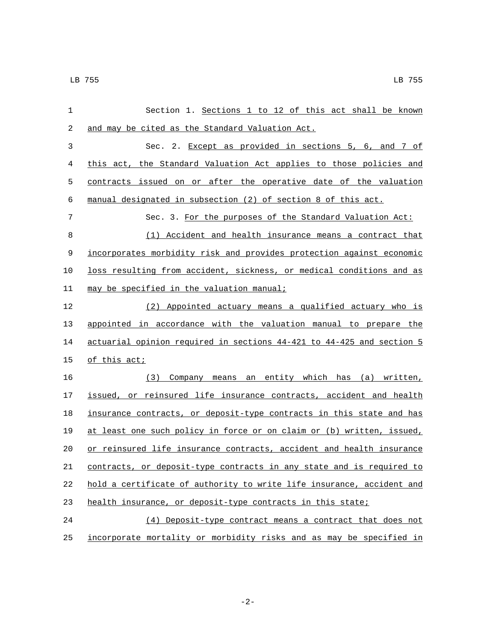| $\mathbf{1}$ | Section 1. Sections 1 to 12 of this act shall be known                |
|--------------|-----------------------------------------------------------------------|
| 2            | and may be cited as the Standard Valuation Act.                       |
| 3            | Sec. 2. Except as provided in sections 5, 6, and 7 of                 |
| 4            | this act, the Standard Valuation Act applies to those policies and    |
| 5            | contracts issued on or after the operative date of the valuation      |
| 6            | manual designated in subsection (2) of section 8 of this act.         |
| 7            | Sec. 3. For the purposes of the Standard Valuation Act:               |
| 8            | (1) Accident and health insurance means a contract that               |
| 9            | incorporates morbidity risk and provides protection against economic  |
| 10           | loss resulting from accident, sickness, or medical conditions and as  |
| 11           | may be specified in the valuation manual;                             |
| 12           | (2) Appointed actuary means a qualified actuary who is                |
| 13           | appointed in accordance with the valuation manual to prepare the      |
| 14           | actuarial opinion required in sections 44-421 to 44-425 and section 5 |
| 15           | of this act;                                                          |
| 16           | (3) Company means an entity which has (a) written,                    |
| 17           | issued, or reinsured life insurance contracts, accident and health    |
| 18           | insurance contracts, or deposit-type contracts in this state and has  |
| 19           | at least one such policy in force or on claim or (b) written, issued, |
| 20           | or reinsured life insurance contracts, accident and health insurance  |
| 21           | contracts, or deposit-type contracts in any state and is required to  |
| 22           | hold a certificate of authority to write life insurance, accident and |
| 23           | health insurance, or deposit-type contracts in this state;            |
| 24           | (4) Deposit-type contract means a contract that does not              |
| 25           | incorporate mortality or morbidity risks and as may be specified in   |

-2-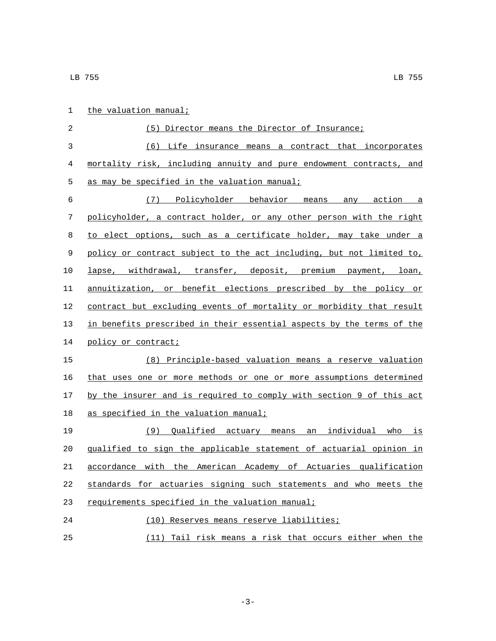| $\mathbf 1$ | the valuation manual;                                                 |
|-------------|-----------------------------------------------------------------------|
| 2           | (5) Director means the Director of Insurance;                         |
| 3           | (6) Life insurance means a contract that incorporates                 |
| 4           | mortality risk, including annuity and pure endowment contracts, and   |
| 5           | as may be specified in the valuation manual;                          |
| 6           | (7) Policyholder behavior means any action a                          |
| 7           | policyholder, a contract holder, or any other person with the right   |
| 8           | to elect options, such as a certificate holder, may take under a      |
| 9           | policy or contract subject to the act including, but not limited to,  |
| 10          | lapse, withdrawal, transfer, deposit, premium payment, loan,          |
| 11          | annuitization, or benefit elections prescribed by the policy or       |
| 12          | contract but excluding events of mortality or morbidity that result   |
| 13          | in benefits prescribed in their essential aspects by the terms of the |
| 14          | policy or contract;                                                   |
| 15          | (8) Principle-based valuation means a reserve valuation               |
| 16          | that uses one or more methods or one or more assumptions determined   |
| 17          | by the insurer and is required to comply with section 9 of this act   |
| 18          | as specified in the valuation manual;                                 |
| 19          | (9) Qualified actuary means an individual who is                      |
| 20          | qualified to sign the applicable statement of actuarial opinion in    |
| 21          | accordance with the American Academy of Actuaries qualification       |
| 22          | standards for actuaries signing such statements and who meets the     |
| 23          | requirements specified in the valuation manual;                       |
| 24          | (10) Reserves means reserve liabilities;                              |
| 25          | (11) Tail risk means a risk that occurs either when the               |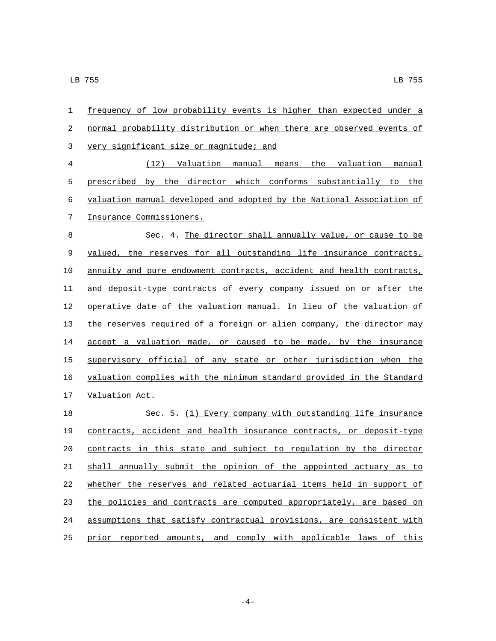| 1              | frequency of low probability events is higher than expected under a   |
|----------------|-----------------------------------------------------------------------|
| 2              | normal probability distribution or when there are observed events of  |
| 3              | very significant size or magnitude; and                               |
| $\overline{4}$ | (12) Valuation manual<br>means the valuation manual                   |
| 5              | prescribed by the director which conforms substantially to the        |
| 6              | valuation manual developed and adopted by the National Association of |
| 7              | Insurance Commissioners.                                              |
| 8              | Sec. 4. The director shall annually value, or cause to be             |
| 9              | valued, the reserves for all outstanding life insurance contracts,    |
| 10             | annuity and pure endowment contracts, accident and health contracts,  |
| 11             | and deposit-type contracts of every company issued on or after the    |
| 12             | operative date of the valuation manual. In lieu of the valuation of   |
| 13             | the reserves required of a foreign or alien company, the director may |
| 14             | accept a valuation made, or caused to be made, by the insurance       |
| 15             | supervisory official of any state or other jurisdiction when the      |
| 16             | valuation complies with the minimum standard provided in the Standard |
| 17             | Valuation Act.                                                        |
| 18             | Sec. 5. (1) Every company with outstanding life insurance             |
| 19             | contracts, accident and health insurance contracts, or deposit-type   |
| 20             | contracts in this state and subject to regulation by the director     |
| 21             | shall annually submit the opinion of the appointed actuary as to      |
| 22             | whether the reserves and related actuarial items held in support of   |
| 23             | the policies and contracts are computed appropriately, are based on   |
| 24             | assumptions that satisfy contractual provisions, are consistent with  |
| 25             | prior reported amounts, and comply with applicable laws of this       |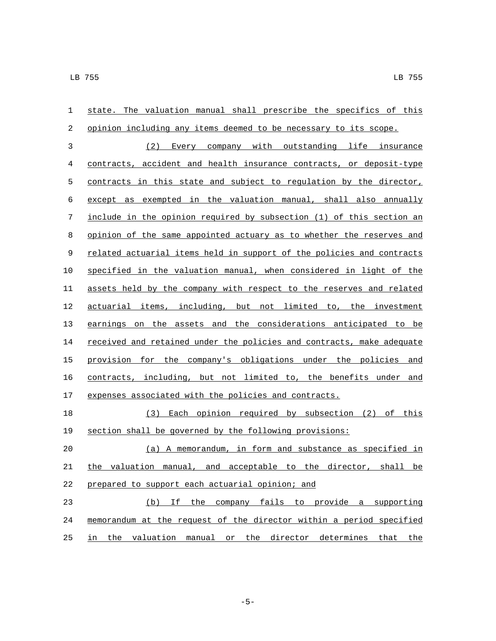| 1              | state. The valuation manual shall prescribe the specifics of this     |
|----------------|-----------------------------------------------------------------------|
| 2              | opinion including any items deemed to be necessary to its scope.      |
| $\mathfrak{Z}$ | (2) Every company with outstanding life insurance                     |
| 4              | contracts, accident and health insurance contracts, or deposit-type   |
| 5              | contracts in this state and subject to regulation by the director,    |
| 6              | except as exempted in the valuation manual, shall also annually       |
| 7              | include in the opinion required by subsection (1) of this section an  |
| $\,8\,$        | opinion of the same appointed actuary as to whether the reserves and  |
| 9              | related actuarial items held in support of the policies and contracts |
| 10             | specified in the valuation manual, when considered in light of the    |
| 11             | assets held by the company with respect to the reserves and related   |
| 12             | actuarial items, including, but not limited to, the investment        |
| 13             | earnings on the assets and the considerations anticipated to be       |
| 14             | received and retained under the policies and contracts, make adequate |
| 15             | provision for the company's obligations under the policies and        |
| 16             | contracts, including, but not limited to, the benefits under and      |
| 17             | expenses associated with the policies and contracts.                  |
| 18             | (3) Each opinion required by subsection (2) of this                   |
| 19             | section shall be governed by the following provisions:                |
| 20             | (a) A memorandum, in form and substance as specified in               |
| 21             | the valuation manual, and acceptable to the director, shall be        |
| 22             | prepared to support each actuarial opinion; and                       |
| 23             | If the company fails to provide a supporting<br>(b)                   |
| 24             | memorandum at the request of the director within a period specified   |
| 25             | in the valuation manual or the director determines that the           |

-5-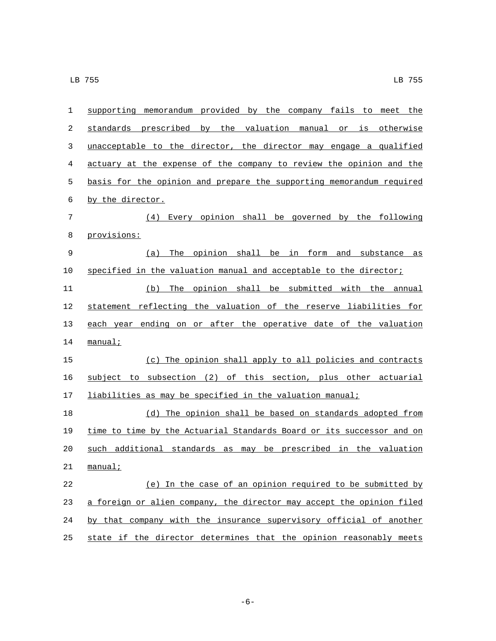| 1  | supporting memorandum provided by the company fails to meet the       |
|----|-----------------------------------------------------------------------|
| 2  | standards prescribed by the valuation manual or is otherwise          |
| 3  | unacceptable to the director, the director may engage a qualified     |
| 4  | actuary at the expense of the company to review the opinion and the   |
| 5  | basis for the opinion and prepare the supporting memorandum required  |
| 6  | by the director.                                                      |
| 7  | (4) Every opinion shall be governed by the following                  |
| 8  | provisions:                                                           |
| 9  | The opinion shall be in form and substance as<br>(a)                  |
| 10 | specified in the valuation manual and acceptable to the director;     |
| 11 | The opinion shall be submitted with the annual<br>(b)                 |
| 12 | statement reflecting the valuation of the reserve liabilities for     |
| 13 | each year ending on or after the operative date of the valuation      |
| 14 | manual:                                                               |
| 15 | (c) The opinion shall apply to all policies and contracts             |
| 16 | subject to subsection (2) of this section, plus other actuarial       |
| 17 | liabilities as may be specified in the valuation manual;              |
| 18 | (d) The opinion shall be based on standards adopted from              |
| 19 | time to time by the Actuarial Standards Board or its successor and on |
| 20 | such additional standards as may be prescribed in the valuation       |
| 21 | <u>manual;</u>                                                        |
| 22 | (e) In the case of an opinion required to be submitted by             |
| 23 | a foreign or alien company, the director may accept the opinion filed |
| 24 | by that company with the insurance supervisory official of another    |
| 25 | state if the director determines that the opinion reasonably meets    |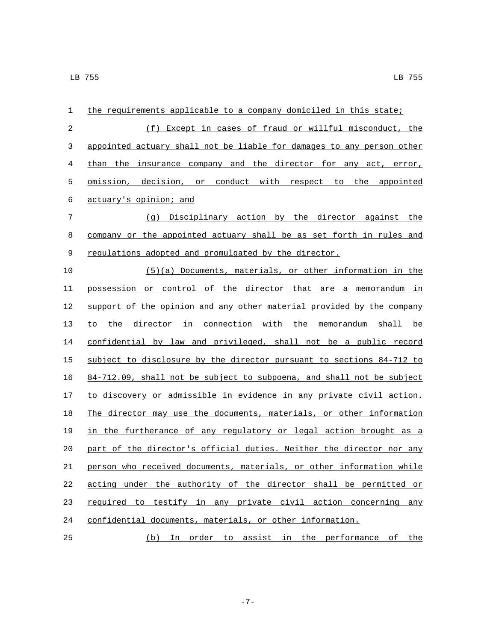| 1  | the requirements applicable to a company domiciled in this state;     |
|----|-----------------------------------------------------------------------|
| 2  | (f) Except in cases of fraud or willful misconduct, the               |
| 3  | appointed actuary shall not be liable for damages to any person other |
| 4  | than the insurance company and the director for any act, error,       |
| 5  | omission, decision, or conduct with respect to the appointed          |
| 6  | actuary's opinion; and                                                |
| 7  | (g) Disciplinary action by the director against the                   |
| 8  | company or the appointed actuary shall be as set forth in rules and   |
| 9  | regulations adopted and promulgated by the director.                  |
| 10 | $(5)(a)$ Documents, materials, or other information in the            |
| 11 | possession or control of the director that are a memorandum in        |
| 12 | support of the opinion and any other material provided by the company |
| 13 | to the director in connection with the memorandum shall be            |
| 14 | confidential by law and privileged, shall not be a public record      |
| 15 | subject to disclosure by the director pursuant to sections 84-712 to  |
| 16 | 84-712.09, shall not be subject to subpoena, and shall not be subject |
| 17 | to discovery or admissible in evidence in any private civil action.   |
| 18 | The director may use the documents, materials, or other information   |
| 19 | in the furtherance of any regulatory or legal action brought as a     |
| 20 | part of the director's official duties. Neither the director nor any  |
| 21 | person who received documents, materials, or other information while  |
| 22 | acting under the authority of the director shall be permitted or      |
| 23 | required to testify in any private civil action concerning any        |
| 24 | confidential documents, materials, or other information.              |
| 25 | (b) In order to assist in the performance of the                      |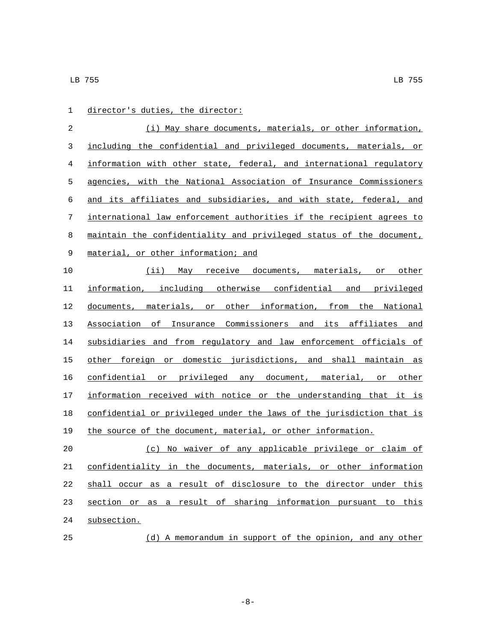| 1  | director's duties, the director:                                      |
|----|-----------------------------------------------------------------------|
| 2  | (i) May share documents, materials, or other information,             |
| 3  | including the confidential and privileged documents, materials, or    |
| 4  | information with other state, federal, and international regulatory   |
| 5  | agencies, with the National Association of Insurance Commissioners    |
| 6  | and its affiliates and subsidiaries, and with state, federal, and     |
| 7  | international law enforcement authorities if the recipient agrees to  |
| 8  | maintain the confidentiality and privileged status of the document,   |
| 9  | material, or other information; and                                   |
| 10 | (ii) May receive documents, materials, or other                       |
| 11 | information, including otherwise confidential and privileged          |
| 12 | documents, materials, or other information, from the National         |
| 13 | Association of Insurance Commissioners and its affiliates and         |
| 14 | subsidiaries and from regulatory and law enforcement officials of     |
| 15 | other foreign or domestic jurisdictions, and shall maintain as        |
| 16 | confidential or privileged any document, material, or other           |
| 17 | information received with notice or the understanding that it is      |
| 18 | confidential or privileged under the laws of the jurisdiction that is |
| 19 | the source of the document, material, or other information.           |
| 20 | (c) No waiver of any applicable privilege or claim of                 |
| 21 | confidentiality in the documents, materials, or other information     |
| 22 | shall occur as a result of disclosure to the director under this      |
| 23 | section or as a result of sharing information pursuant to this        |
| 24 | subsection.                                                           |

- (d) A memorandum in support of the opinion, and any other
	- -8-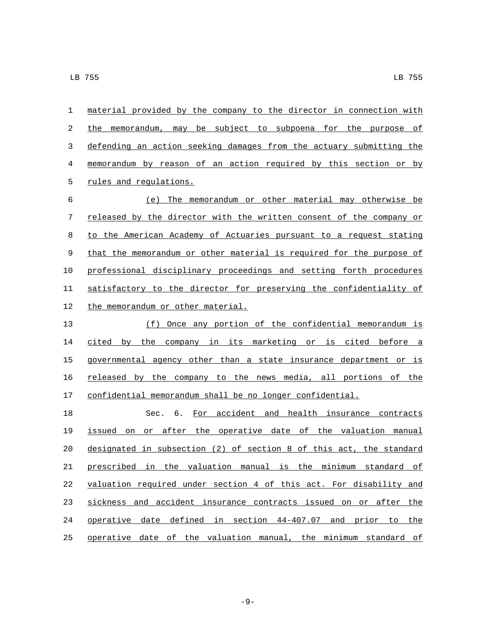| 1  | material provided by the company to the director in connection with  |
|----|----------------------------------------------------------------------|
| 2  | the memorandum, may be subject to subpoena for the purpose of        |
| 3  | defending an action seeking damages from the actuary submitting the  |
| 4  | memorandum by reason of an action required by this section or by     |
| 5  | rules and regulations.                                               |
| 6  | The memorandum or other material may otherwise be<br>(e)             |
| 7  | released by the director with the written consent of the company or  |
| 8  | to the American Academy of Actuaries pursuant to a request stating   |
| 9  | that the memorandum or other material is required for the purpose of |
| 10 | professional disciplinary proceedings and setting forth procedures   |
| 11 | satisfactory to the director for preserving the confidentiality of   |
| 12 | the memorandum or other material.                                    |
| 13 | (f) Once any portion of the confidential memorandum is               |
| 14 | cited by the company in its marketing or is cited before a           |
| 15 | governmental agency other than a state insurance department or is    |
| 16 | released by the company to the news media, all portions of the       |
| 17 | confidential memorandum shall be no longer confidential.             |
| 18 | Sec. 6.<br>For accident and health insurance contracts               |
| 19 | issued on or after the operative date of the valuation manual        |
| 20 | designated in subsection (2) of section 8 of this act, the standard  |
| 21 | prescribed in the valuation manual is the minimum standard of        |
| 22 | valuation required under section 4 of this act. For disability and   |
| 23 | sickness and accident insurance contracts issued on or after the     |
| 24 | operative date defined in section 44-407.07 and prior to the         |
| 25 | operative date of the valuation manual, the minimum standard of      |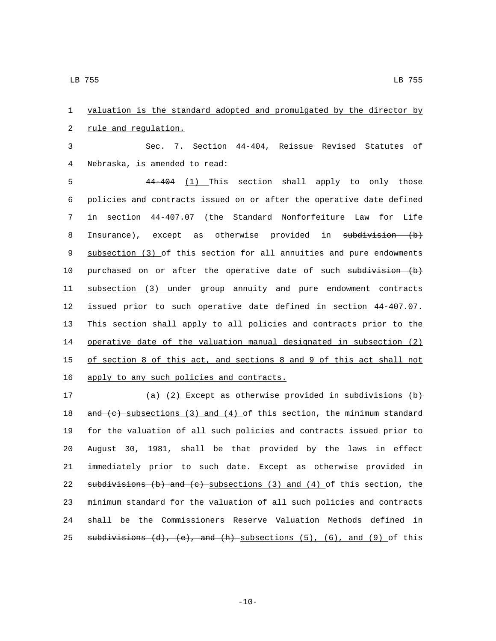1 valuation is the standard adopted and promulgated by the director by 2 rule and regulation.

3 Sec. 7. Section 44-404, Reissue Revised Statutes of Nebraska, is amended to read:4

 44-404 (1) This section shall apply to only those policies and contracts issued on or after the operative date defined in section 44-407.07 (the Standard Nonforfeiture Law for Life 8 Insurance), except as otherwise provided in subdivision (b) subsection (3) of this section for all annuities and pure endowments 10 purchased on or after the operative date of such  $subdivision$  (b) subsection (3) under group annuity and pure endowment contracts issued prior to such operative date defined in section 44-407.07. This section shall apply to all policies and contracts prior to the operative date of the valuation manual designated in subsection (2) of section 8 of this act, and sections 8 and 9 of this act shall not 16 apply to any such policies and contracts.

 $(a)$   $(2)$  Except as otherwise provided in subdivisions (b)  $\ldots$  and (c) subsections (3) and (4) of this section, the minimum standard for the valuation of all such policies and contracts issued prior to August 30, 1981, shall be that provided by the laws in effect immediately prior to such date. Except as otherwise provided in 22 subdivisions (b) and  $(e)$  subsections (3) and (4) of this section, the minimum standard for the valuation of all such policies and contracts shall be the Commissioners Reserve Valuation Methods defined in 25 subdivisions  $(d)$ ,  $(e)$ , and  $(h)$  subsections  $(5)$ ,  $(6)$ , and  $(9)$  of this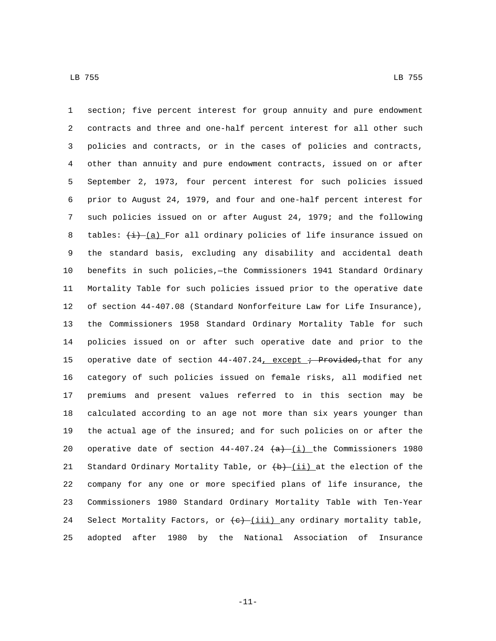section; five percent interest for group annuity and pure endowment contracts and three and one-half percent interest for all other such policies and contracts, or in the cases of policies and contracts, other than annuity and pure endowment contracts, issued on or after September 2, 1973, four percent interest for such policies issued prior to August 24, 1979, and four and one-half percent interest for such policies issued on or after August 24, 1979; and the following 8 tables:  $\frac{1}{(d)}$   $\frac{1}{(d)}$  For all ordinary policies of life insurance issued on the standard basis, excluding any disability and accidental death benefits in such policies,—the Commissioners 1941 Standard Ordinary Mortality Table for such policies issued prior to the operative date of section 44-407.08 (Standard Nonforfeiture Law for Life Insurance), the Commissioners 1958 Standard Ordinary Mortality Table for such policies issued on or after such operative date and prior to the 15 operative date of section  $44-407.24$ , except ; Provided, that for any category of such policies issued on female risks, all modified net premiums and present values referred to in this section may be calculated according to an age not more than six years younger than the actual age of the insured; and for such policies on or after the 20 operative date of section  $44-407.24$   $(a)$  (i) the Commissioners 1980 21 Standard Ordinary Mortality Table, or  $\left(\frac{b}{1} \right)$  at the election of the company for any one or more specified plans of life insurance, the Commissioners 1980 Standard Ordinary Mortality Table with Ten-Year 24 Select Mortality Factors, or  $\leftarrow$  (iii) any ordinary mortality table, adopted after 1980 by the National Association of Insurance

-11-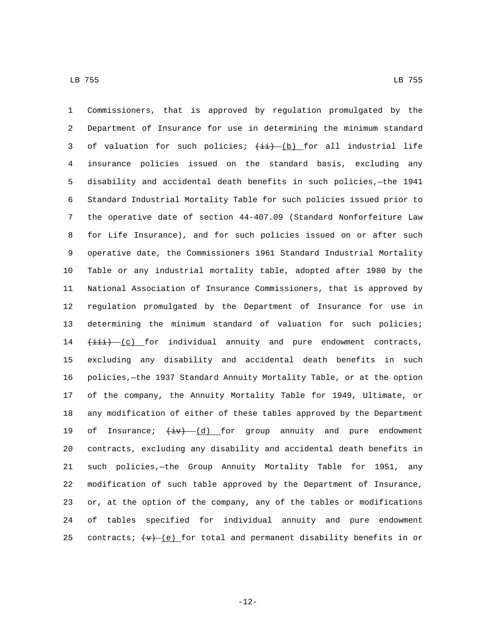Commissioners, that is approved by regulation promulgated by the Department of Insurance for use in determining the minimum standard 3 of valuation for such policies;  $(\pm i)$  (b) for all industrial life insurance policies issued on the standard basis, excluding any disability and accidental death benefits in such policies,—the 1941 Standard Industrial Mortality Table for such policies issued prior to the operative date of section 44-407.09 (Standard Nonforfeiture Law for Life Insurance), and for such policies issued on or after such operative date, the Commissioners 1961 Standard Industrial Mortality Table or any industrial mortality table, adopted after 1980 by the National Association of Insurance Commissioners, that is approved by regulation promulgated by the Department of Insurance for use in determining the minimum standard of valuation for such policies;  $(i$ iii)  $(c)$  for individual annuity and pure endowment contracts, excluding any disability and accidental death benefits in such policies,—the 1937 Standard Annuity Mortality Table, or at the option of the company, the Annuity Mortality Table for 1949, Ultimate, or any modification of either of these tables approved by the Department 19 of Insurance;  $\frac{1}{x}$   $\frac{1}{y}$  for group annuity and pure endowment contracts, excluding any disability and accidental death benefits in such policies,—the Group Annuity Mortality Table for 1951, any modification of such table approved by the Department of Insurance, or, at the option of the company, any of the tables or modifications of tables specified for individual annuity and pure endowment 25 contracts;  $(v)$  (e) for total and permanent disability benefits in or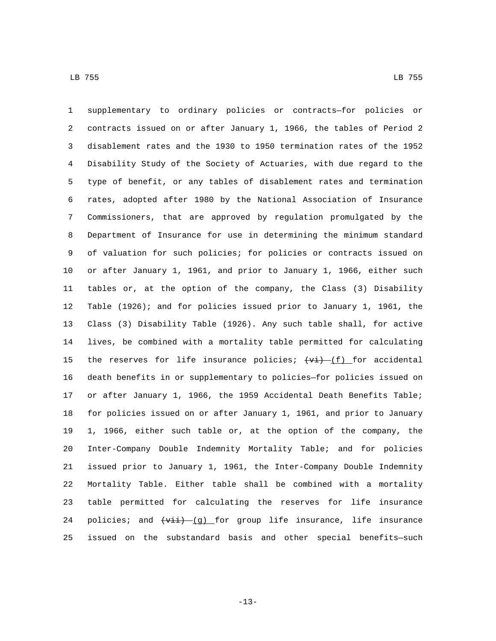supplementary to ordinary policies or contracts—for policies or contracts issued on or after January 1, 1966, the tables of Period 2 disablement rates and the 1930 to 1950 termination rates of the 1952 Disability Study of the Society of Actuaries, with due regard to the type of benefit, or any tables of disablement rates and termination rates, adopted after 1980 by the National Association of Insurance Commissioners, that are approved by regulation promulgated by the Department of Insurance for use in determining the minimum standard of valuation for such policies; for policies or contracts issued on or after January 1, 1961, and prior to January 1, 1966, either such tables or, at the option of the company, the Class (3) Disability Table (1926); and for policies issued prior to January 1, 1961, the Class (3) Disability Table (1926). Any such table shall, for active lives, be combined with a mortality table permitted for calculating 15 the reserves for life insurance policies;  $\overline{(vi) - (f)}$  for accidental death benefits in or supplementary to policies—for policies issued on or after January 1, 1966, the 1959 Accidental Death Benefits Table; for policies issued on or after January 1, 1961, and prior to January 1, 1966, either such table or, at the option of the company, the Inter-Company Double Indemnity Mortality Table; and for policies issued prior to January 1, 1961, the Inter-Company Double Indemnity Mortality Table. Either table shall be combined with a mortality table permitted for calculating the reserves for life insurance 24 policies; and  $\overline{(v_{ii}) - (g)}$  for group life insurance, life insurance issued on the substandard basis and other special benefits—such

-13-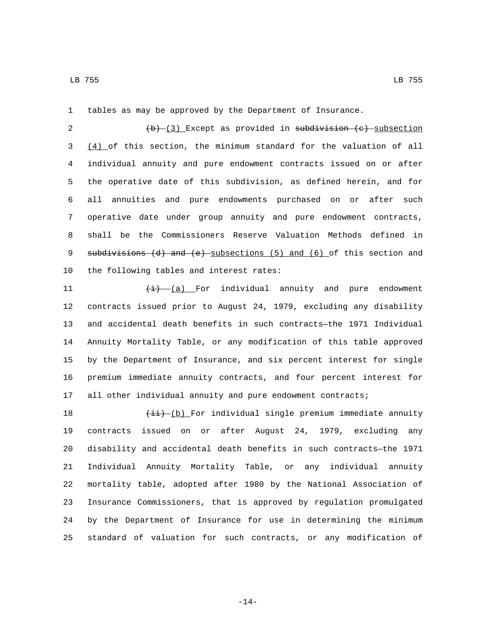tables as may be approved by the Department of Insurance.

 $(b)$   $(3)$  Except as provided in subdivision (c) subsection (4) of this section, the minimum standard for the valuation of all individual annuity and pure endowment contracts issued on or after the operative date of this subdivision, as defined herein, and for all annuities and pure endowments purchased on or after such operative date under group annuity and pure endowment contracts, shall be the Commissioners Reserve Valuation Methods defined in 9 subdivisions (d) and (e) subsections (5) and (6) of this section and 10 the following tables and interest rates:

11 (i) (a) For individual annuity and pure endowment contracts issued prior to August 24, 1979, excluding any disability and accidental death benefits in such contracts—the 1971 Individual Annuity Mortality Table, or any modification of this table approved by the Department of Insurance, and six percent interest for single premium immediate annuity contracts, and four percent interest for all other individual annuity and pure endowment contracts;

 $\left(\frac{1}{11} - \left(\frac{b}{b}\right)\right)$  For individual single premium immediate annuity contracts issued on or after August 24, 1979, excluding any disability and accidental death benefits in such contracts—the 1971 Individual Annuity Mortality Table, or any individual annuity mortality table, adopted after 1980 by the National Association of Insurance Commissioners, that is approved by regulation promulgated by the Department of Insurance for use in determining the minimum standard of valuation for such contracts, or any modification of

-14-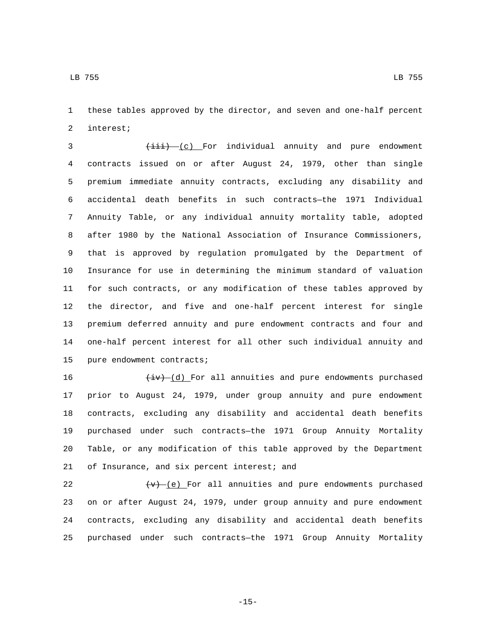these tables approved by the director, and seven and one-half percent

2 interest;

3 (iii) (c) For individual annuity and pure endowment contracts issued on or after August 24, 1979, other than single premium immediate annuity contracts, excluding any disability and accidental death benefits in such contracts—the 1971 Individual Annuity Table, or any individual annuity mortality table, adopted after 1980 by the National Association of Insurance Commissioners, that is approved by regulation promulgated by the Department of Insurance for use in determining the minimum standard of valuation for such contracts, or any modification of these tables approved by the director, and five and one-half percent interest for single premium deferred annuity and pure endowment contracts and four and one-half percent interest for all other such individual annuity and 15 pure endowment contracts;

 $\left(\frac{iv}{i}\right)$  (d) For all annuities and pure endowments purchased prior to August 24, 1979, under group annuity and pure endowment contracts, excluding any disability and accidental death benefits purchased under such contracts—the 1971 Group Annuity Mortality Table, or any modification of this table approved by the Department 21 of Insurance, and six percent interest; and

 $(v)$  (e) For all annuities and pure endowments purchased on or after August 24, 1979, under group annuity and pure endowment contracts, excluding any disability and accidental death benefits purchased under such contracts—the 1971 Group Annuity Mortality

-15-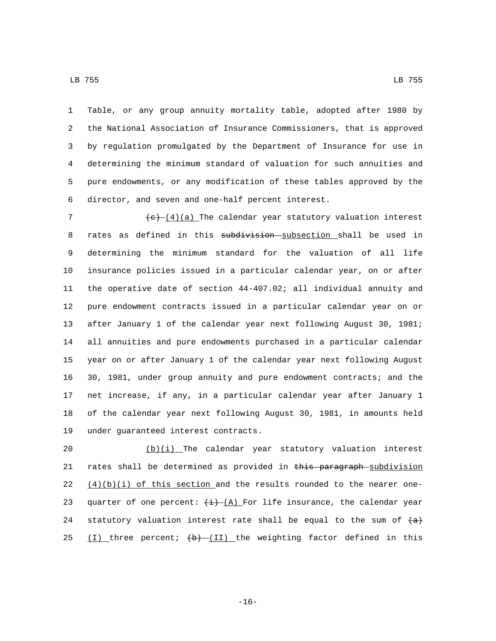Table, or any group annuity mortality table, adopted after 1980 by the National Association of Insurance Commissioners, that is approved by regulation promulgated by the Department of Insurance for use in determining the minimum standard of valuation for such annuities and pure endowments, or any modification of these tables approved by the 6 director, and seven and one-half percent interest.

 $(e)$  (4)(a) The calendar year statutory valuation interest 8 rates as defined in this subdivision subsection shall be used in determining the minimum standard for the valuation of all life insurance policies issued in a particular calendar year, on or after the operative date of section 44-407.02; all individual annuity and pure endowment contracts issued in a particular calendar year on or after January 1 of the calendar year next following August 30, 1981; all annuities and pure endowments purchased in a particular calendar year on or after January 1 of the calendar year next following August 30, 1981, under group annuity and pure endowment contracts; and the net increase, if any, in a particular calendar year after January 1 of the calendar year next following August 30, 1981, in amounts held 19 under guaranteed interest contracts.

20  $(b)(i)$  The calendar year statutory valuation interest 21 rates shall be determined as provided in this paragraph subdivision 22  $(4)(b)(i)$  of this section and the results rounded to the nearer one-23 quarter of one percent:  $\frac{1}{1}$   $(A)$  For life insurance, the calendar year 24 statutory valuation interest rate shall be equal to the sum of  $\{a\}$ 25 (I) three percent;  $\left(\frac{b}{b}\right) - \left(\frac{b}{c}\right)$  the weighting factor defined in this

-16-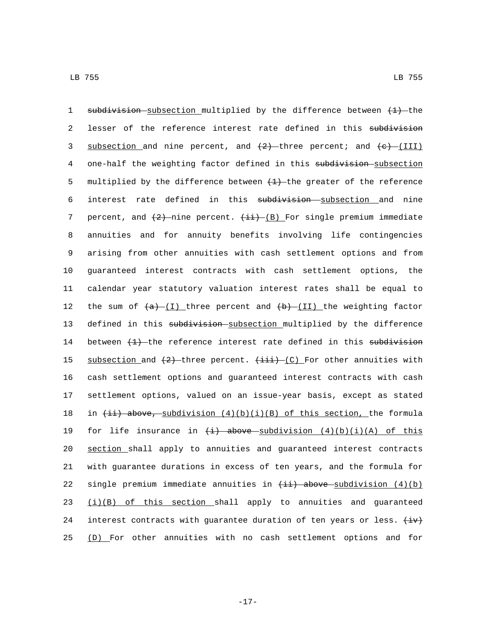1 subdivision subsection multiplied by the difference between  $(1)$  the 2 lesser of the reference interest rate defined in this subdivision 3 subsection and nine percent, and  $(2)$  -three percent; and  $(e)$  (III) 4 one-half the weighting factor defined in this subdivision-subsection 5 multiplied by the difference between  $(1)$  the greater of the reference 6 interest rate defined in this subdivision subsection and nine 7 percent, and  $(2)$ -nine percent.  $(\pm i)$ -(B) For single premium immediate 8 annuities and for annuity benefits involving life contingencies 9 arising from other annuities with cash settlement options and from 10 guaranteed interest contracts with cash settlement options, the 11 calendar year statutory valuation interest rates shall be equal to 12 the sum of  $(a)$  (I) three percent and  $(b)$  (II) the weighting factor 13 defined in this subdivision subsection multiplied by the difference 14 between  $(1)$  the reference interest rate defined in this subdivision 15 subsection and  $(2)$  three percent.  $(iii)$  (C) For other annuities with 16 cash settlement options and guaranteed interest contracts with cash 17 settlement options, valued on an issue-year basis, except as stated 18 in  $\{\pm i\}$  above, subdivision  $(4)(b)(i)(B)$  of this section, the formula 19 for life insurance in  $\left(\frac{1}{2}\right)$  above subdivision  $(4)(b)(i)(A)$  of this 20 section shall apply to annuities and guaranteed interest contracts 21 with guarantee durations in excess of ten years, and the formula for 22 single premium immediate annuities in  $(i)$  above subdivision  $(4)(b)$  $23$   $(i)(B)$  of this section shall apply to annuities and guaranteed 24 interest contracts with guarantee duration of ten years or less.  $\overleftrightarrow{iv}$ 25 (D) For other annuities with no cash settlement options and for

-17-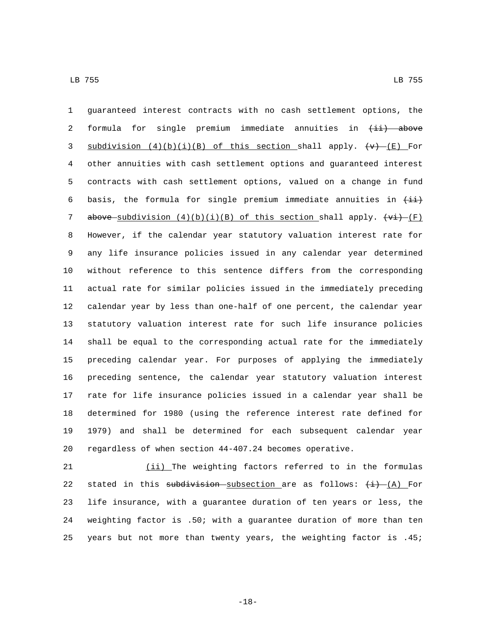guaranteed interest contracts with no cash settlement options, the 2 formula for single premium immediate annuities in  $\overline{t}$  above 3 subdivision  $(4)(b)(i)(B)$  of this section shall apply.  $\left(\forall\right)$   $\left(\infty\right)$  For other annuities with cash settlement options and guaranteed interest contracts with cash settlement options, valued on a change in fund 6 basis, the formula for single premium immediate annuities in  $\overline{\{4i\}}$ 7 above subdivision  $(4)(b)(i)(B)$  of this section shall apply.  $(vi)$  (F) However, if the calendar year statutory valuation interest rate for any life insurance policies issued in any calendar year determined without reference to this sentence differs from the corresponding actual rate for similar policies issued in the immediately preceding calendar year by less than one-half of one percent, the calendar year statutory valuation interest rate for such life insurance policies shall be equal to the corresponding actual rate for the immediately preceding calendar year. For purposes of applying the immediately preceding sentence, the calendar year statutory valuation interest rate for life insurance policies issued in a calendar year shall be determined for 1980 (using the reference interest rate defined for 1979) and shall be determined for each subsequent calendar year regardless of when section 44-407.24 becomes operative.

 (ii) The weighting factors referred to in the formulas 22 stated in this subdivision subsection are as follows:  $(i)$  (A) For life insurance, with a guarantee duration of ten years or less, the weighting factor is .50; with a guarantee duration of more than ten years but not more than twenty years, the weighting factor is .45;

-18-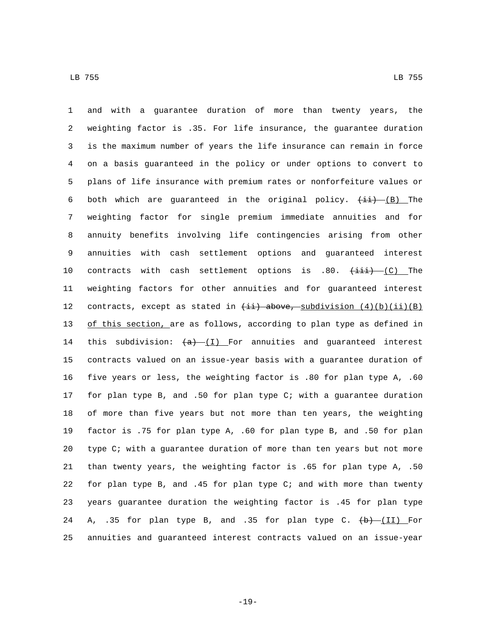and with a guarantee duration of more than twenty years, the weighting factor is .35. For life insurance, the guarantee duration is the maximum number of years the life insurance can remain in force on a basis guaranteed in the policy or under options to convert to plans of life insurance with premium rates or nonforfeiture values or 6 both which are guaranteed in the original policy.  $(\pm i)$  (B) The weighting factor for single premium immediate annuities and for annuity benefits involving life contingencies arising from other annuities with cash settlement options and guaranteed interest 10 contracts with cash settlement options is .80.  $(\pm i\pm)$  (C) The weighting factors for other annuities and for guaranteed interest 12 contracts, except as stated in  $\overline{\text{iii}}$  above, subdivision  $(4)(b)(ii)(B)$  of this section, are as follows, according to plan type as defined in 14 this subdivision:  $(a)$  (I) For annuities and guaranteed interest contracts valued on an issue-year basis with a guarantee duration of five years or less, the weighting factor is .80 for plan type A, .60 for plan type B, and .50 for plan type C; with a guarantee duration of more than five years but not more than ten years, the weighting factor is .75 for plan type A, .60 for plan type B, and .50 for plan type C; with a guarantee duration of more than ten years but not more than twenty years, the weighting factor is .65 for plan type A, .50 for plan type B, and .45 for plan type C; and with more than twenty years guarantee duration the weighting factor is .45 for plan type 24 A, .35 for plan type B, and .35 for plan type C.  $\left(\frac{b}{11}\right)$  For annuities and guaranteed interest contracts valued on an issue-year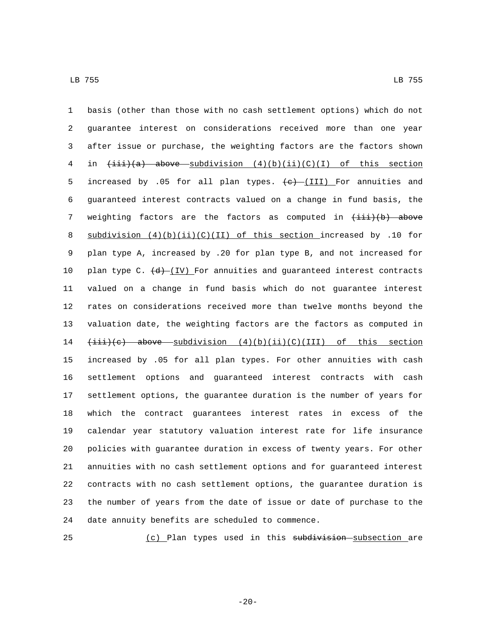basis (other than those with no cash settlement options) which do not guarantee interest on considerations received more than one year after issue or purchase, the weighting factors are the factors shown 4 in  $\overline{(i\pm i)(a)}$  above subdivision  $(4)(b)(ii)(C)(I)$  of this section 5 increased by .05 for all plan types.  $\leftarrow$  (III) For annuities and guaranteed interest contracts valued on a change in fund basis, the 7 weighting factors are the factors as computed in  $(\pm i\mathbf{i})$  above 8 subdivision  $(4)(b)(ii)(C)(II)$  of this section increased by .10 for plan type A, increased by .20 for plan type B, and not increased for 10 plan type C.  $(d)$  (IV) For annuities and guaranteed interest contracts valued on a change in fund basis which do not guarantee interest rates on considerations received more than twelve months beyond the valuation date, the weighting factors are the factors as computed in (iii)(c) above subdivision (4)(b)(ii)(C)(III) of this section increased by .05 for all plan types. For other annuities with cash settlement options and guaranteed interest contracts with cash settlement options, the guarantee duration is the number of years for which the contract guarantees interest rates in excess of the calendar year statutory valuation interest rate for life insurance policies with guarantee duration in excess of twenty years. For other annuities with no cash settlement options and for guaranteed interest contracts with no cash settlement options, the guarantee duration is the number of years from the date of issue or date of purchase to the 24 date annuity benefits are scheduled to commence.

25 (c) Plan types used in this subdivision subsection are

-20-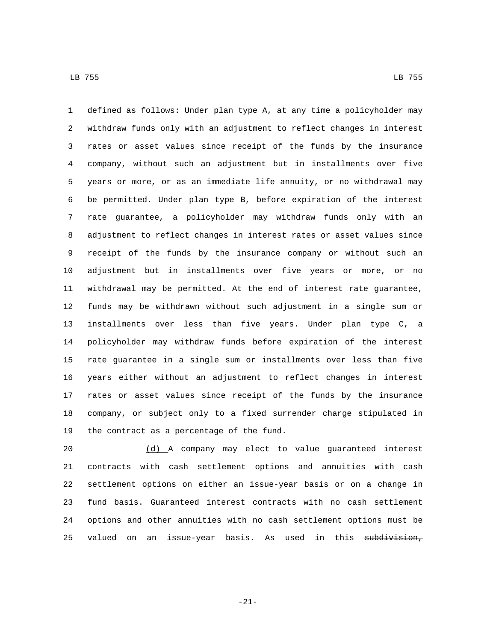defined as follows: Under plan type A, at any time a policyholder may withdraw funds only with an adjustment to reflect changes in interest rates or asset values since receipt of the funds by the insurance company, without such an adjustment but in installments over five years or more, or as an immediate life annuity, or no withdrawal may be permitted. Under plan type B, before expiration of the interest rate guarantee, a policyholder may withdraw funds only with an adjustment to reflect changes in interest rates or asset values since receipt of the funds by the insurance company or without such an adjustment but in installments over five years or more, or no withdrawal may be permitted. At the end of interest rate guarantee, funds may be withdrawn without such adjustment in a single sum or installments over less than five years. Under plan type C, a policyholder may withdraw funds before expiration of the interest rate guarantee in a single sum or installments over less than five years either without an adjustment to reflect changes in interest rates or asset values since receipt of the funds by the insurance company, or subject only to a fixed surrender charge stipulated in 19 the contract as a percentage of the fund.

 (d) A company may elect to value guaranteed interest contracts with cash settlement options and annuities with cash settlement options on either an issue-year basis or on a change in fund basis. Guaranteed interest contracts with no cash settlement options and other annuities with no cash settlement options must be 25 valued on an issue-year basis. As used in this subdivision,

-21-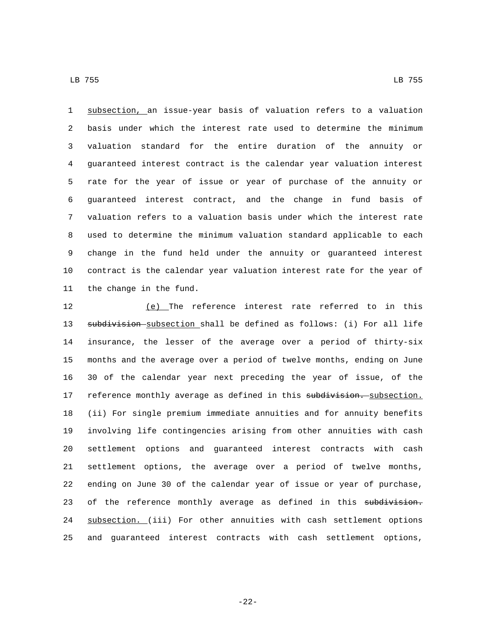subsection, an issue-year basis of valuation refers to a valuation basis under which the interest rate used to determine the minimum valuation standard for the entire duration of the annuity or guaranteed interest contract is the calendar year valuation interest rate for the year of issue or year of purchase of the annuity or guaranteed interest contract, and the change in fund basis of valuation refers to a valuation basis under which the interest rate used to determine the minimum valuation standard applicable to each change in the fund held under the annuity or guaranteed interest contract is the calendar year valuation interest rate for the year of 11 the change in the fund.

 (e) The reference interest rate referred to in this 13 subdivision subsection shall be defined as follows: (i) For all life insurance, the lesser of the average over a period of thirty-six months and the average over a period of twelve months, ending on June 30 of the calendar year next preceding the year of issue, of the 17 reference monthly average as defined in this subdivision. subsection. (ii) For single premium immediate annuities and for annuity benefits involving life contingencies arising from other annuities with cash settlement options and guaranteed interest contracts with cash settlement options, the average over a period of twelve months, ending on June 30 of the calendar year of issue or year of purchase, 23 of the reference monthly average as defined in this subdivision. 24 subsection. (iii) For other annuities with cash settlement options and guaranteed interest contracts with cash settlement options,

-22-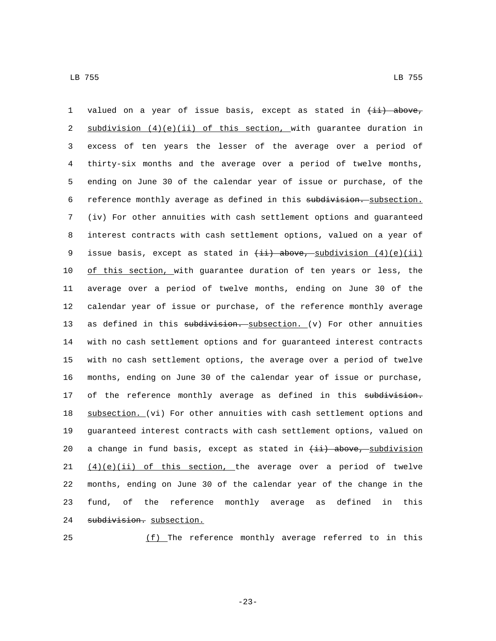1 valued on a year of issue basis, except as stated in  $(i)$  above, 2 subdivision  $(4)(e)(ii)$  of this section, with guarantee duration in excess of ten years the lesser of the average over a period of thirty-six months and the average over a period of twelve months, ending on June 30 of the calendar year of issue or purchase, of the 6 reference monthly average as defined in this subdivision. subsection. (iv) For other annuities with cash settlement options and guaranteed interest contracts with cash settlement options, valued on a year of 9 issue basis, except as stated in  $(i)$  above, subdivision  $(4)(e)(ii)$ 10 of this section, with guarantee duration of ten years or less, the average over a period of twelve months, ending on June 30 of the calendar year of issue or purchase, of the reference monthly average 13 as defined in this subdivision. subsection.  $(v)$  For other annuities with no cash settlement options and for guaranteed interest contracts with no cash settlement options, the average over a period of twelve months, ending on June 30 of the calendar year of issue or purchase, 17 of the reference monthly average as defined in this subdivision. subsection. (vi) For other annuities with cash settlement options and guaranteed interest contracts with cash settlement options, valued on 20 a change in fund basis, except as stated in  $\{\pm i\}$  above, subdivision  $(4)(e)(ii)$  of this section, the average over a period of twelve months, ending on June 30 of the calendar year of the change in the fund, of the reference monthly average as defined in this 24 subdivision. subsection.

25 (f) The reference monthly average referred to in this

-23-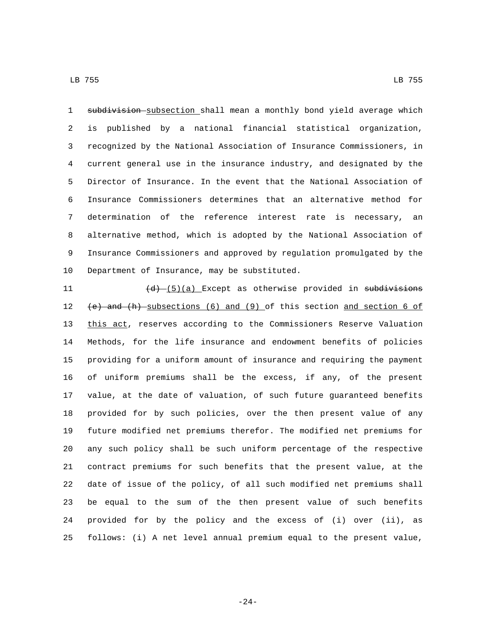1 subdivision subsection shall mean a monthly bond yield average which is published by a national financial statistical organization, recognized by the National Association of Insurance Commissioners, in current general use in the insurance industry, and designated by the Director of Insurance. In the event that the National Association of Insurance Commissioners determines that an alternative method for determination of the reference interest rate is necessary, an alternative method, which is adopted by the National Association of Insurance Commissioners and approved by regulation promulgated by the 10 Department of Insurance, may be substituted.

 $(d)$   $(\frac{d}{d})$   $(x)$  Except as otherwise provided in subdivisions (e) and (h) subsections (6) and (9) of this section and section 6 of this act, reserves according to the Commissioners Reserve Valuation Methods, for the life insurance and endowment benefits of policies providing for a uniform amount of insurance and requiring the payment of uniform premiums shall be the excess, if any, of the present value, at the date of valuation, of such future guaranteed benefits provided for by such policies, over the then present value of any future modified net premiums therefor. The modified net premiums for any such policy shall be such uniform percentage of the respective contract premiums for such benefits that the present value, at the date of issue of the policy, of all such modified net premiums shall be equal to the sum of the then present value of such benefits provided for by the policy and the excess of (i) over (ii), as follows: (i) A net level annual premium equal to the present value,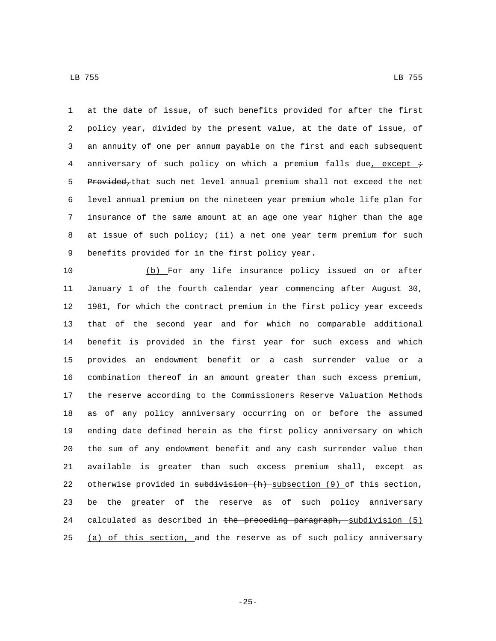at the date of issue, of such benefits provided for after the first policy year, divided by the present value, at the date of issue, of an annuity of one per annum payable on the first and each subsequent 4 anniversary of such policy on which a premium falls due, except  $\div$ 5 Provided, that such net level annual premium shall not exceed the net level annual premium on the nineteen year premium whole life plan for insurance of the same amount at an age one year higher than the age

 at issue of such policy; (ii) a net one year term premium for such 9 benefits provided for in the first policy year.

 (b) For any life insurance policy issued on or after January 1 of the fourth calendar year commencing after August 30, 1981, for which the contract premium in the first policy year exceeds that of the second year and for which no comparable additional benefit is provided in the first year for such excess and which provides an endowment benefit or a cash surrender value or a combination thereof in an amount greater than such excess premium, the reserve according to the Commissioners Reserve Valuation Methods as of any policy anniversary occurring on or before the assumed ending date defined herein as the first policy anniversary on which the sum of any endowment benefit and any cash surrender value then available is greater than such excess premium shall, except as 22 otherwise provided in subdivision (h) subsection (9) of this section, be the greater of the reserve as of such policy anniversary 24 calculated as described in the preceding paragraph, subdivision (5) 25 (a) of this section, and the reserve as of such policy anniversary

LB 755 LB 755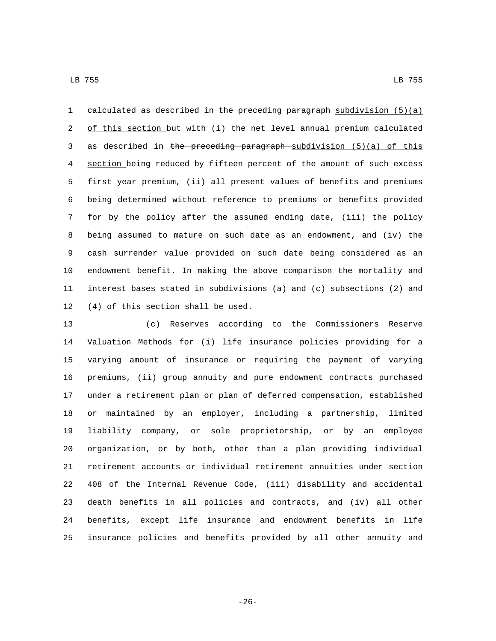1 calculated as described in the preceding paragraph-subdivision  $(5)(a)$ 2 of this section but with (i) the net level annual premium calculated 3 as described in the preceding paragraph subdivision (5)(a) of this section being reduced by fifteen percent of the amount of such excess first year premium, (ii) all present values of benefits and premiums being determined without reference to premiums or benefits provided for by the policy after the assumed ending date, (iii) the policy being assumed to mature on such date as an endowment, and (iv) the cash surrender value provided on such date being considered as an endowment benefit. In making the above comparison the mortality and 11 interest bases stated in subdivisions (a) and (c) subsections (2) and  $(4)$  of this section shall be used.

 (c) Reserves according to the Commissioners Reserve Valuation Methods for (i) life insurance policies providing for a varying amount of insurance or requiring the payment of varying premiums, (ii) group annuity and pure endowment contracts purchased under a retirement plan or plan of deferred compensation, established or maintained by an employer, including a partnership, limited liability company, or sole proprietorship, or by an employee organization, or by both, other than a plan providing individual retirement accounts or individual retirement annuities under section 408 of the Internal Revenue Code, (iii) disability and accidental death benefits in all policies and contracts, and (iv) all other benefits, except life insurance and endowment benefits in life insurance policies and benefits provided by all other annuity and

-26-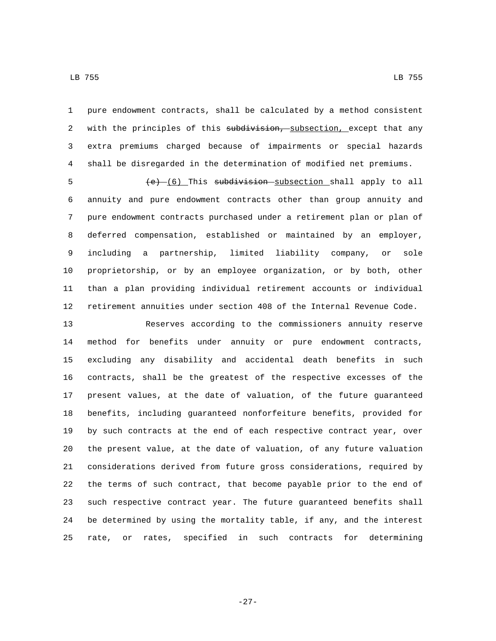pure endowment contracts, shall be calculated by a method consistent 2 with the principles of this subdivision, subsection, except that any extra premiums charged because of impairments or special hazards shall be disregarded in the determination of modified net premiums.

5 (e) (6) This subdivision subsection shall apply to all annuity and pure endowment contracts other than group annuity and pure endowment contracts purchased under a retirement plan or plan of deferred compensation, established or maintained by an employer, including a partnership, limited liability company, or sole proprietorship, or by an employee organization, or by both, other than a plan providing individual retirement accounts or individual retirement annuities under section 408 of the Internal Revenue Code.

 Reserves according to the commissioners annuity reserve method for benefits under annuity or pure endowment contracts, excluding any disability and accidental death benefits in such contracts, shall be the greatest of the respective excesses of the present values, at the date of valuation, of the future guaranteed benefits, including guaranteed nonforfeiture benefits, provided for by such contracts at the end of each respective contract year, over the present value, at the date of valuation, of any future valuation considerations derived from future gross considerations, required by the terms of such contract, that become payable prior to the end of such respective contract year. The future guaranteed benefits shall be determined by using the mortality table, if any, and the interest rate, or rates, specified in such contracts for determining

LB 755 LB 755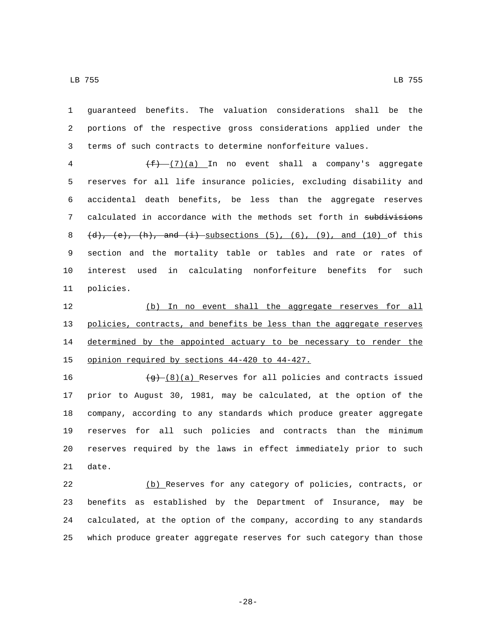guaranteed benefits. The valuation considerations shall be the portions of the respective gross considerations applied under the terms of such contracts to determine nonforfeiture values.

 $(f)$  (7)(a) In no event shall a company's aggregate reserves for all life insurance policies, excluding disability and accidental death benefits, be less than the aggregate reserves 7 calculated in accordance with the methods set forth in subdivisions 8 (d), (e), (h), and (i) subsections  $(5)$ ,  $(6)$ ,  $(9)$ , and  $(10)$  of this section and the mortality table or tables and rate or rates of interest used in calculating nonforfeiture benefits for such 11 policies.

 (b) In no event shall the aggregate reserves for all policies, contracts, and benefits be less than the aggregate reserves 14 determined by the appointed actuary to be necessary to render the 15 opinion required by sections 44-420 to 44-427.

 $(g)$  (8)(a) Reserves for all policies and contracts issued prior to August 30, 1981, may be calculated, at the option of the company, according to any standards which produce greater aggregate reserves for all such policies and contracts than the minimum reserves required by the laws in effect immediately prior to such 21 date.

 (b) Reserves for any category of policies, contracts, or benefits as established by the Department of Insurance, may be calculated, at the option of the company, according to any standards which produce greater aggregate reserves for such category than those

-28-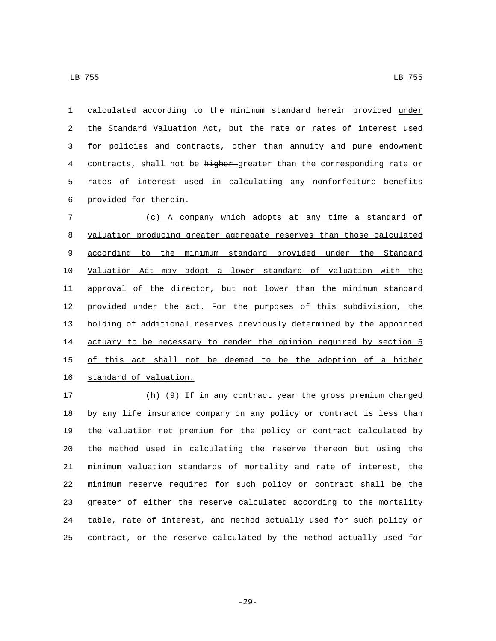1 calculated according to the minimum standard herein provided under 2 the Standard Valuation Act, but the rate or rates of interest used for policies and contracts, other than annuity and pure endowment 4 contracts, shall not be higher greater than the corresponding rate or rates of interest used in calculating any nonforfeiture benefits provided for therein.6

 (c) A company which adopts at any time a standard of valuation producing greater aggregate reserves than those calculated according to the minimum standard provided under the Standard Valuation Act may adopt a lower standard of valuation with the 11 approval of the director, but not lower than the minimum standard provided under the act. For the purposes of this subdivision, the holding of additional reserves previously determined by the appointed 14 actuary to be necessary to render the opinion required by section 5 of this act shall not be deemed to be the adoption of a higher 16 standard of valuation.

 $\frac{(h) - (9)}{h}$  If in any contract year the gross premium charged by any life insurance company on any policy or contract is less than the valuation net premium for the policy or contract calculated by the method used in calculating the reserve thereon but using the minimum valuation standards of mortality and rate of interest, the minimum reserve required for such policy or contract shall be the greater of either the reserve calculated according to the mortality table, rate of interest, and method actually used for such policy or contract, or the reserve calculated by the method actually used for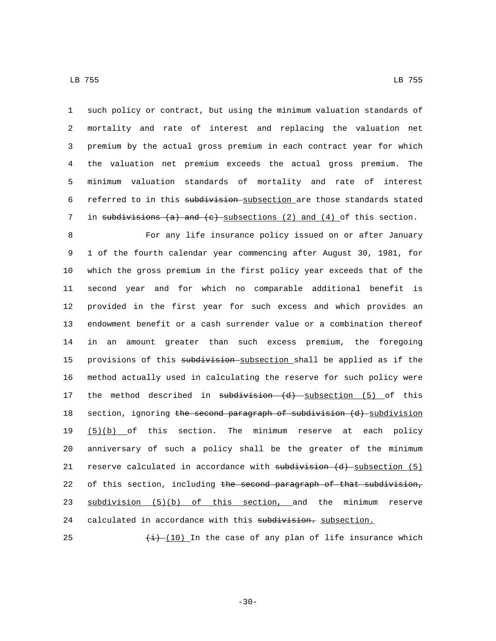such policy or contract, but using the minimum valuation standards of mortality and rate of interest and replacing the valuation net premium by the actual gross premium in each contract year for which the valuation net premium exceeds the actual gross premium. The minimum valuation standards of mortality and rate of interest 6 referred to in this subdivision subsection are those standards stated 7 in subdivisions (a) and (c) subsections (2) and (4) of this section.

8 For any life insurance policy issued on or after January 9 1 of the fourth calendar year commencing after August 30, 1981, for 10 which the gross premium in the first policy year exceeds that of the 11 second year and for which no comparable additional benefit is 12 provided in the first year for such excess and which provides an 13 endowment benefit or a cash surrender value or a combination thereof 14 in an amount greater than such excess premium, the foregoing 15 provisions of this subdivision subsection shall be applied as if the 16 method actually used in calculating the reserve for such policy were 17 the method described in subdivision (d) subsection (5) of this 18 section, ignoring the second paragraph of subdivision (d) subdivision 19 (5)(b) of this section. The minimum reserve at each policy 20 anniversary of such a policy shall be the greater of the minimum 21 reserve calculated in accordance with  $substitution$  (d) subsection (5) 22 of this section, including the second paragraph of that subdivision, 23 subdivision (5)(b) of this section, and the minimum reserve 24 calculated in accordance with this subdivision. subsection.

25  $\left(\frac{1}{1}\right)$  (10) In the case of any plan of life insurance which

-30-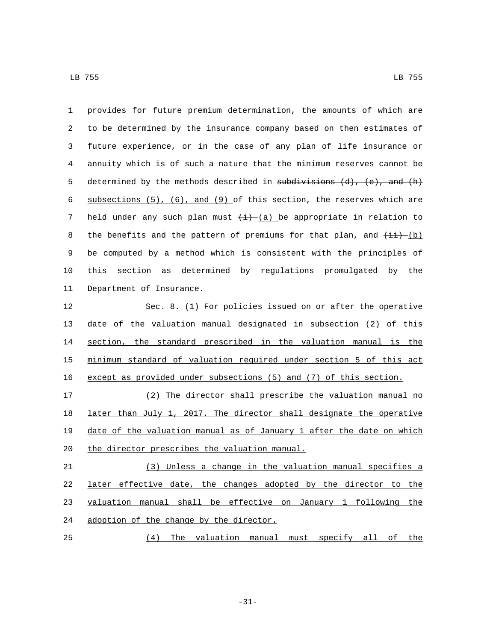| 1  | provides for future premium determination, the amounts of which are           |
|----|-------------------------------------------------------------------------------|
| 2  | to be determined by the insurance company based on then estimates of          |
| 3  | future experience, or in the case of any plan of life insurance or            |
| 4  | annuity which is of such a nature that the minimum reserves cannot be         |
| 5  | determined by the methods described in subdivisions $(d)$ , $(e)$ , and $(h)$ |
| 6  | subsections $(5)$ , $(6)$ , and $(9)$ of this section, the reserves which are |
| 7  | held under any such plan must $(\pm)$ (a) be appropriate in relation to       |
| 8  | the benefits and the pattern of premiums for that plan, and $(i + j)$         |
| 9  | be computed by a method which is consistent with the principles of            |
| 10 | determined by regulations promulgated by the<br>section<br>this<br>as         |
| 11 | Department of Insurance.                                                      |
| 12 | Sec. 8. (1) For policies issued on or after the operative                     |
| 13 | date of the valuation manual designated in subsection (2) of this             |
| 14 | section, the standard prescribed in the valuation manual is the               |
| 15 | minimum standard of valuation required under section 5 of this act            |
| 16 | except as provided under subsections (5) and (7) of this section.             |
| 17 | (2) The director shall prescribe the valuation manual no                      |
| 18 | later than July 1, 2017. The director shall designate the operative           |
| 19 | date of the valuation manual as of January 1 after the date on which          |
| 20 | the director prescribes the valuation manual.                                 |
| 21 | (3) Unless a change in the valuation manual specifies a                       |
| 22 | later effective date, the changes adopted by the director to the              |
| 23 | valuation manual shall be effective on January 1 following the                |
| 24 | adoption of the change by the director.                                       |
| 25 | (4) The valuation manual must specify all of the                              |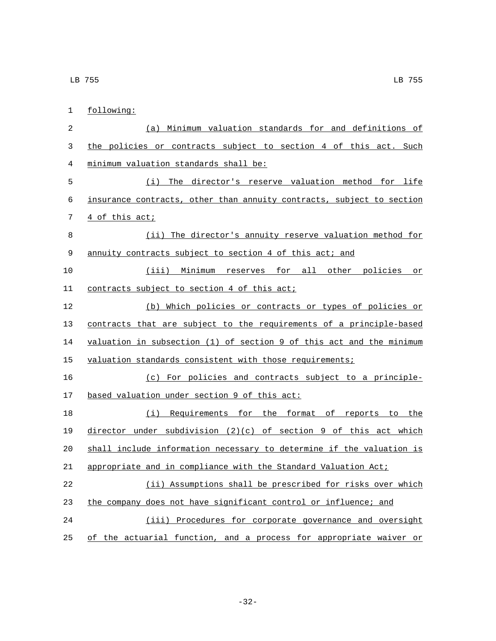| 1              | following:                                                            |
|----------------|-----------------------------------------------------------------------|
| $\overline{2}$ | (a) Minimum valuation standards for and definitions of                |
| 3              | the policies or contracts subject to section 4 of this act. Such      |
| 4              | minimum valuation standards shall be:                                 |
| 5              | (i) The director's reserve valuation method for life                  |
| 6              | insurance contracts, other than annuity contracts, subject to section |
| 7              | 4 of this act;                                                        |
| 8              | (ii) The director's annuity reserve valuation method for              |
| 9              | annuity contracts subject to section 4 of this act; and               |
| 10             | (iii) Minimum reserves for all other policies or                      |
| 11             | contracts subject to section 4 of this act;                           |
| 12             | (b) Which policies or contracts or types of policies or               |
| 13             | contracts that are subject to the requirements of a principle-based   |
| 14             | valuation in subsection (1) of section 9 of this act and the minimum  |
| 15             | valuation standards consistent with those requirements;               |
| 16             | (c) For policies and contracts subject to a principle-                |
| 17             | based valuation under section 9 of this act:                          |
| 18             | (i) Requirements for the format of reports to the                     |
| 19             | director under subdivision $(2)(c)$ of section 9 of this act which    |
| 20             | shall include information necessary to determine if the valuation is  |
| 21             | appropriate and in compliance with the Standard Valuation Act;        |
| 22             | (ii) Assumptions shall be prescribed for risks over which             |
| 23             | the company does not have significant control or influence; and       |
| 24             | (iii) Procedures for corporate governance and oversight               |
| 25             | of the actuarial function, and a process for appropriate waiver or    |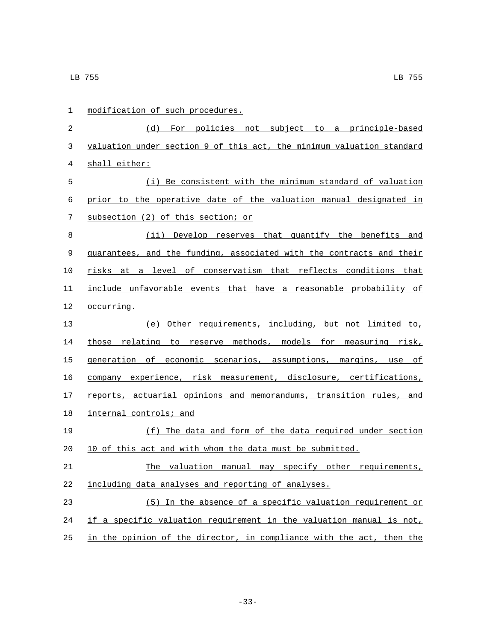| 1  | modification of such procedures.                                      |
|----|-----------------------------------------------------------------------|
| 2  | (d) For policies not subject to a principle-based                     |
| 3  | valuation under section 9 of this act, the minimum valuation standard |
| 4  | shall either:                                                         |
| 5  | (i) Be consistent with the minimum standard of valuation              |
| 6  | prior to the operative date of the valuation manual designated in     |
| 7  | subsection (2) of this section; or                                    |
| 8  | (ii) Develop reserves that quantify the benefits and                  |
| 9  | guarantees, and the funding, associated with the contracts and their  |
| 10 | risks at a level of conservatism that reflects conditions that        |
| 11 | include unfavorable events that have a reasonable probability of      |
| 12 | occurring.                                                            |
| 13 | (e) Other requirements, including, but not limited to,                |
| 14 | those relating to reserve methods, models for measuring risk,         |
| 15 | generation of economic scenarios, assumptions, margins, use of        |
| 16 | company experience, risk measurement, disclosure, certifications,     |
| 17 | reports, actuarial opinions and memorandums, transition rules, and    |
| 18 | internal controls; and                                                |
| 19 | (f) The data and form of the data required under section              |
| 20 | 10 of this act and with whom the data must be submitted.              |
| 21 | The valuation manual may specify other requirements,                  |
| 22 | including data analyses and reporting of analyses.                    |
| 23 | (5) In the absence of a specific valuation requirement or             |
| 24 | if a specific valuation requirement in the valuation manual is not,   |
| 25 | in the opinion of the director, in compliance with the act, then the  |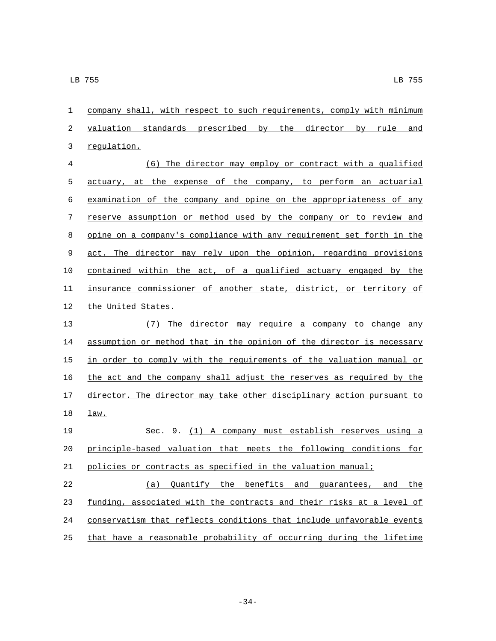company shall, with respect to such requirements, comply with minimum valuation standards prescribed by the director by rule and 3 regulation.

 (6) The director may employ or contract with a qualified actuary, at the expense of the company, to perform an actuarial examination of the company and opine on the appropriateness of any reserve assumption or method used by the company or to review and opine on a company's compliance with any requirement set forth in the act. The director may rely upon the opinion, regarding provisions contained within the act, of a qualified actuary engaged by the insurance commissioner of another state, district, or territory of 12 the United States.

 (7) The director may require a company to change any assumption or method that in the opinion of the director is necessary 15 in order to comply with the requirements of the valuation manual or the act and the company shall adjust the reserves as required by the director. The director may take other disciplinary action pursuant to 18 <u>law.</u>

 Sec. 9. (1) A company must establish reserves using a principle-based valuation that meets the following conditions for policies or contracts as specified in the valuation manual;

 (a) Quantify the benefits and guarantees, and the funding, associated with the contracts and their risks at a level of conservatism that reflects conditions that include unfavorable events that have a reasonable probability of occurring during the lifetime

-34-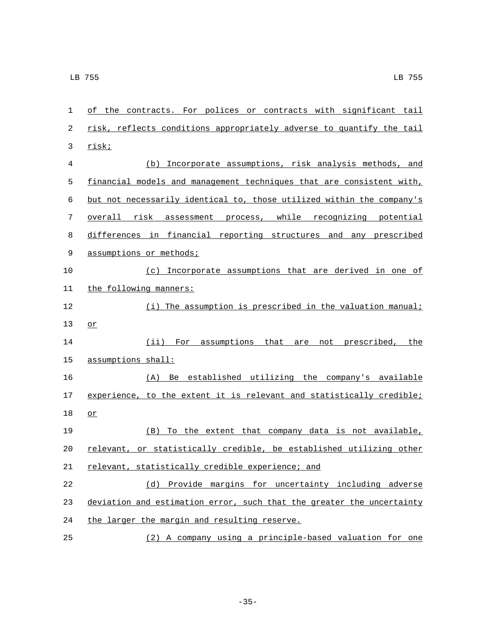| 1              | of the contracts. For polices or contracts with significant tail      |
|----------------|-----------------------------------------------------------------------|
| 2              | risk, reflects conditions appropriately adverse to quantify the tail  |
| 3              | risk;                                                                 |
| $\overline{4}$ | Incorporate assumptions, risk analysis methods, and<br>(b)            |
| 5              | financial models and management techniques that are consistent with,  |
| 6              | but not necessarily identical to, those utilized within the company's |
| 7              | overall risk<br>assessment process, while recognizing potential       |
| 8              | differences in financial reporting structures and any prescribed      |
| 9              | assumptions or methods;                                               |
| 10             | (c) Incorporate assumptions that are derived in one of                |
| 11             | the following manners:                                                |
| 12             | (i) The assumption is prescribed in the valuation manual;             |
| 13             | $or$                                                                  |
| 14             | For assumptions that<br>$(i$ ii)<br>not prescribed, the<br>are        |
| 15             | assumptions shall:                                                    |
| 16             | (A) Be established utilizing the company's available                  |
| 17             | experience, to the extent it is relevant and statistically credible;  |
| 18             | or                                                                    |
| 19             | (B) To the extent that company data is not available,                 |
| 20             | relevant, or statistically credible, be established utilizing other   |
| 21             | relevant, statistically credible experience; and                      |
| 22             | (d) Provide margins for uncertainty including adverse                 |
| 23             | deviation and estimation error, such that the greater the uncertainty |
| 24             | the larger the margin and resulting reserve.                          |
| 25             | (2) A company using a principle-based valuation for one               |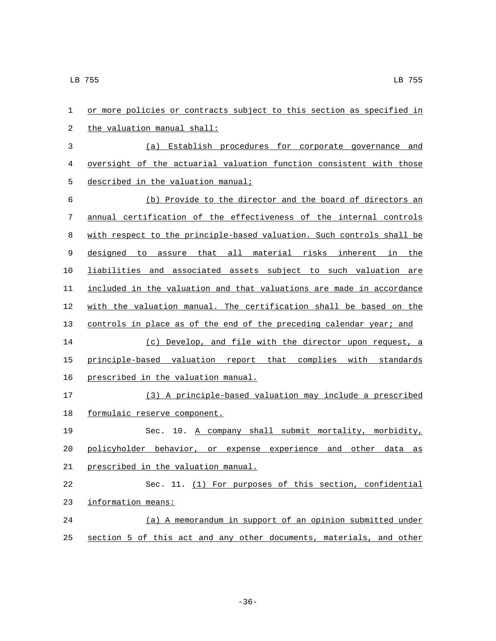| $\mathbf{1}$ | or more policies or contracts subject to this section as specified in |
|--------------|-----------------------------------------------------------------------|
| 2            | the valuation manual shall:                                           |
| 3            | (a) Establish procedures for corporate governance and                 |
| 4            | oversight of the actuarial valuation function consistent with those   |
| 5            | described in the valuation manual;                                    |
| 6            | (b) Provide to the director and the board of directors an             |
| 7            | annual certification of the effectiveness of the internal controls    |
| 8            | with respect to the principle-based valuation. Such controls shall be |
| 9            | designed to assure that all material risks inherent in the            |
| 10           | liabilities and associated assets subject to such valuation are       |
| 11           | included in the valuation and that valuations are made in accordance  |
| 12           | with the valuation manual. The certification shall be based on the    |
| 13           | controls in place as of the end of the preceding calendar year; and   |
| 14           | (c) Develop, and file with the director upon request, a               |
| 15           | principle-based valuation report that complies with standards         |
| 16           | prescribed in the valuation manual.                                   |
| 17           | (3) A principle-based valuation may include a prescribed              |
| 18           | formulaic reserve component.                                          |
| 19           | Sec. 10. A company shall submit mortality, morbidity,                 |
| 20           | policyholder behavior, or expense experience and other<br>data<br>as  |
| 21           | prescribed in the valuation manual.                                   |
| 22           | Sec. 11. (1) For purposes of this section, confidential               |
| 23           | information means:                                                    |
| 24           | (a) A memorandum in support of an opinion submitted under             |
| 25           | section 5 of this act and any other documents, materials, and other   |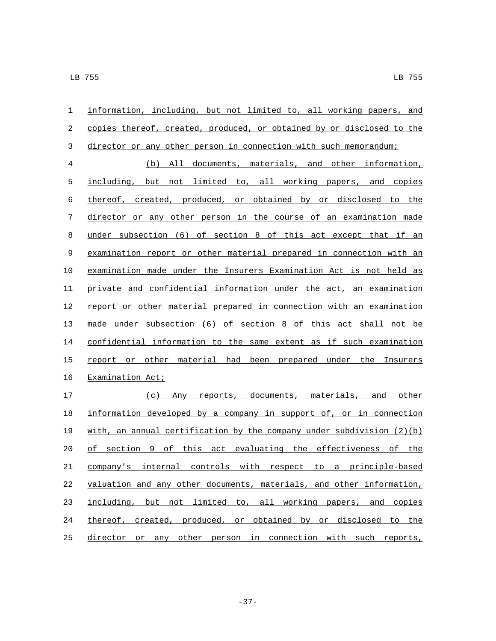| 1              | information, including, but not limited to, all working papers, and     |
|----------------|-------------------------------------------------------------------------|
| 2              | copies thereof, created, produced, or obtained by or disclosed to the   |
| $\mathfrak{Z}$ | director or any other person in connection with such memorandum;        |
| $\overline{4}$ | (b) All documents, materials, and other information,                    |
| 5              | including, but not limited to, all working papers, and copies           |
| $\epsilon$     | thereof, created, produced, or obtained by or disclosed to the          |
| 7              | director or any other person in the course of an examination made       |
| 8              | under subsection (6) of section 8 of this act except that if an         |
| 9              | examination report or other material prepared in connection with an     |
| 10             | examination made under the Insurers Examination Act is not held as      |
| 11             | private and confidential information under the act, an examination      |
| 12             | report or other material prepared in connection with an examination     |
| 13             | made under subsection (6) of section 8 of this act shall not be         |
| 14             | confidential information to the same extent as if such examination      |
| 15             | report or other material had been prepared under the Insurers           |
| 16             | Examination Act;                                                        |
| 17             | (c) Any reports, documents, materials, and other                        |
| 18             | information developed by a company in support of, or in connection      |
| 19             | with, an annual certification by the company under subdivision $(2)(b)$ |
| 20             | of section 9 of this act evaluating the effectiveness of the            |
| 21             | company's internal controls with respect to a principle-based           |
| 22             | valuation and any other documents, materials, and other information,    |
| 23             | including, but not limited to, all working papers, and copies           |
| 24             | thereof, created, produced, or obtained by or disclosed to the          |
| 25             | director or any other person in connection with such reports,           |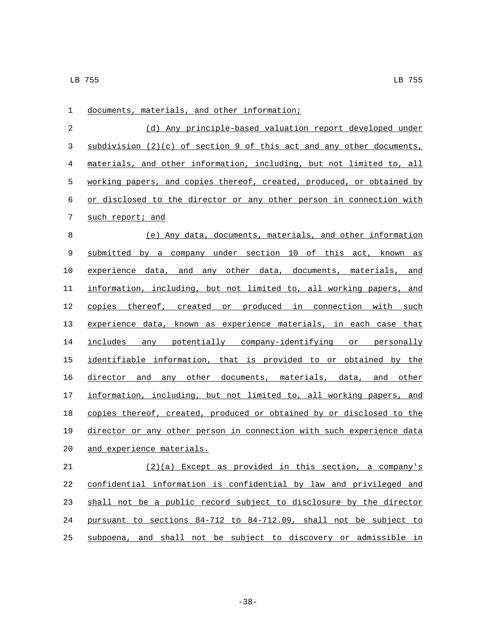| 1  | documents, materials, and other information;                           |
|----|------------------------------------------------------------------------|
| 2  | (d) Any principle-based valuation report developed under               |
| 3  | $subdivision (2)(c)$ of section 9 of this act and any other documents, |
| 4  | materials, and other information, including, but not limited to, all   |
| 5  | working papers, and copies thereof, created, produced, or obtained by  |
| 6  | or disclosed to the director or any other person in connection with    |
| 7  | such report; and                                                       |
| 8  | (e) Any data, documents, materials, and other information              |
| 9  | submitted by a company under section 10 of this act, known as          |
| 10 | experience data, and any other data, documents, materials, and         |
| 11 | information, including, but not limited to, all working papers, and    |
| 12 | copies thereof, created or produced in connection with such            |
| 13 | experience data, known as experience materials, in each case that      |
| 14 | includes any potentially company-identifying or personally             |
| 15 | identifiable information, that is provided to or obtained by the       |
| 16 | director and any other documents, materials, data, and other           |
| 17 | information, including, but not limited to, all working papers, and    |
| 18 | copies thereof, created, produced or obtained by or disclosed to the   |
| 19 | director or any other person in connection with such experience data   |
| 20 | <u>and experience materials.</u>                                       |
| 21 | (2)(a) Except as provided in this section, a company's                 |
| 22 | confidential information is confidential by law and privileged and     |
| 23 | shall not be a public record subject to disclosure by the director     |
| 24 | pursuant to sections 84-712 to 84-712.09, shall not be subject to      |
| 25 | subpoena, and shall not be subject to discovery or admissible in       |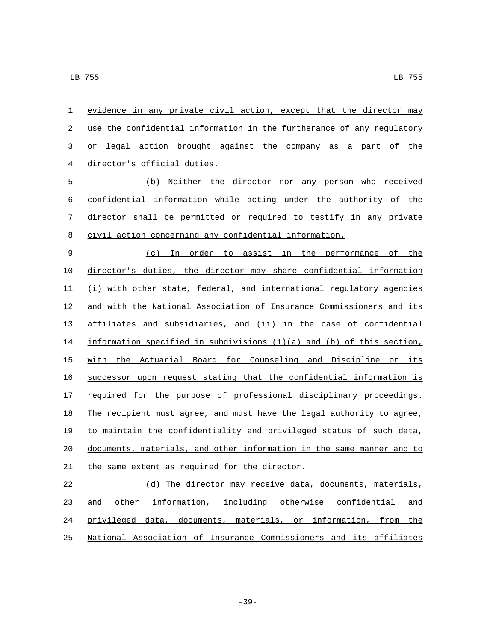| $\mathbf 1$ | evidence in any private civil action, except that the director may        |
|-------------|---------------------------------------------------------------------------|
| $\sqrt{2}$  | use the confidential information in the furtherance of any regulatory     |
| 3           | or legal action brought against the company as a part of the              |
| 4           | director's official duties.                                               |
| 5           | (b) Neither the director nor any person who received                      |
| 6           | confidential information while acting under the authority of the          |
| 7           | director shall be permitted or required to testify in any private         |
| 8           | civil action concerning any confidential information.                     |
| $\mathsf 9$ | (c) In order to assist in the performance of the                          |
| 10          | director's duties, the director may share confidential information        |
| 11          | (i) with other state, federal, and international regulatory agencies      |
| 12          | and with the National Association of Insurance Commissioners and its      |
| 13          | affiliates and subsidiaries, and (ii) in the case of confidential         |
| 14          | information specified in subdivisions $(1)(a)$ and $(b)$ of this section, |
| 15          | with the Actuarial Board for Counseling and Discipline or its             |
| 16          | successor upon request stating that the confidential information is       |
| 17          | required for the purpose of professional disciplinary proceedings.        |
| 18          | The recipient must agree, and must have the legal authority to agree,     |
| 19          | to maintain the confidentiality and privileged status of such data,       |
| 20          | documents, materials, and other information in the same manner and to     |
| 21          | the same extent as required for the director.                             |
| 22          | (d) The director may receive data, documents, materials,                  |
| 23          | other information, including otherwise confidential<br>and<br>and         |

National Association of Insurance Commissioners and its affiliates

privileged data, documents, materials, or information, from the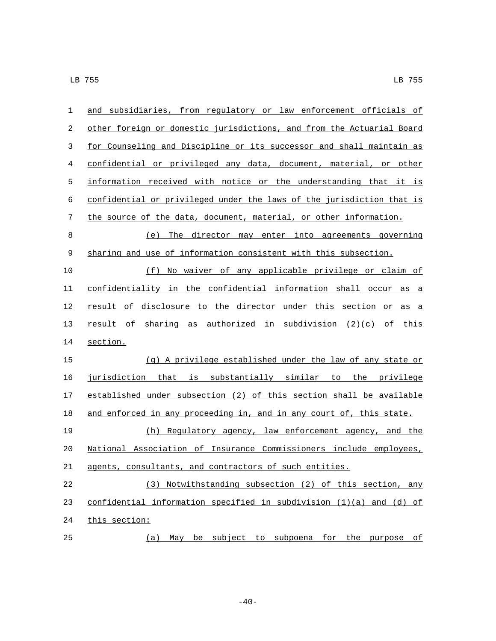| $\mathbf{1}$ | and subsidiaries, from regulatory or law enforcement officials of       |
|--------------|-------------------------------------------------------------------------|
| 2            | other foreign or domestic jurisdictions, and from the Actuarial Board   |
| 3            | for Counseling and Discipline or its successor and shall maintain as    |
| 4            | confidential or privileged any data, document, material, or other       |
| 5            | information received with notice or the understanding that it is        |
| 6            | confidential or privileged under the laws of the jurisdiction that is   |
| 7            | the source of the data, document, material, or other information.       |
| $\,8\,$      | (e) The director may enter into agreements governing                    |
| 9            | sharing and use of information consistent with this subsection.         |
| 10           | (f) No waiver of any applicable privilege or claim of                   |
| 11           | confidentiality in the confidential information shall occur as a        |
| 12           | result of disclosure to the director under this section or as a         |
| 13           | result of sharing as authorized in subdivision (2)(c) of this           |
| 14           | section.                                                                |
| 15           | (g) A privilege established under the law of any state or               |
| 16           | jurisdiction that is substantially similar to the privilege             |
| 17           | established under subsection (2) of this section shall be available     |
| 18           | and enforced in any proceeding in, and in any court of, this state.     |
| 19           | (h) Regulatory agency, law enforcement agency, and the                  |
| 20           | National Association of Insurance Commissioners include employees,      |
| 21           | agents, consultants, and contractors of such entities.                  |
| 22           | (3) Notwithstanding subsection (2) of this section, any                 |
| 23           | confidential information specified in subdivision $(1)(a)$ and $(d)$ of |
| 24           | this section:                                                           |
| 25           | May be subject to subpoena for the purpose of<br>(a)                    |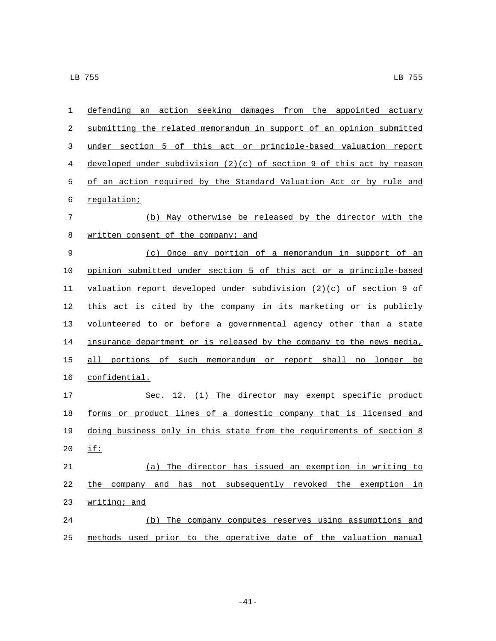| 1  | defending an action seeking damages from the appointed actuary          |
|----|-------------------------------------------------------------------------|
| 2  | submitting the related memorandum in support of an opinion submitted    |
| 3  | under section 5 of this act or principle-based valuation report         |
| 4  | developed under subdivision $(2)(c)$ of section 9 of this act by reason |
| 5  | of an action required by the Standard Valuation Act or by rule and      |
| 6  | regulation;                                                             |
| 7  | (b) May otherwise be released by the director with the                  |
| 8  | written consent of the company; and                                     |
| 9  | (c) Once any portion of a memorandum in support of an                   |
| 10 | opinion submitted under section 5 of this act or a principle-based      |
| 11 | valuation report developed under subdivision $(2)(c)$ of section 9 of   |
| 12 | this act is cited by the company in its marketing or is publicly        |
| 13 | volunteered to or before a governmental agency other than a state       |
| 14 | insurance department or is released by the company to the news media,   |
| 15 | all portions of such memorandum or report shall no<br>longer<br>be      |
| 16 | confidential.                                                           |
| 17 | Sec. 12. (1) The director may exempt specific product                   |
| 18 | forms or product lines of a domestic company that is licensed and       |
| 19 | doing business only in this state from the requirements of section 8    |
| 20 | if:                                                                     |
| 21 | (a) The director has issued an exemption in writing to                  |
| 22 | the company and has not subsequently revoked the exemption in           |
| 23 | writing; and                                                            |
| 24 | (b) The company computes reserves using assumptions and                 |
| 25 | methods used prior to the operative date of the valuation manual        |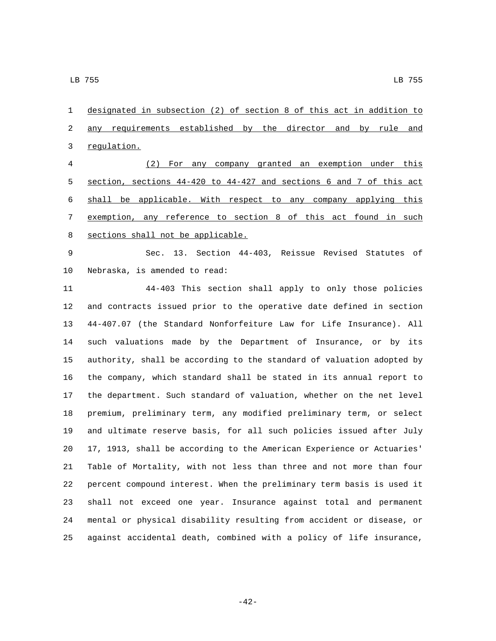designated in subsection (2) of section 8 of this act in addition to 2 any requirements established by the director and by rule and 3 regulation.

 (2) For any company granted an exemption under this section, sections 44-420 to 44-427 and sections 6 and 7 of this act shall be applicable. With respect to any company applying this exemption, any reference to section 8 of this act found in such 8 sections shall not be applicable.

 Sec. 13. Section 44-403, Reissue Revised Statutes of 10 Nebraska, is amended to read:

 44-403 This section shall apply to only those policies and contracts issued prior to the operative date defined in section 44-407.07 (the Standard Nonforfeiture Law for Life Insurance). All such valuations made by the Department of Insurance, or by its authority, shall be according to the standard of valuation adopted by the company, which standard shall be stated in its annual report to the department. Such standard of valuation, whether on the net level premium, preliminary term, any modified preliminary term, or select and ultimate reserve basis, for all such policies issued after July 17, 1913, shall be according to the American Experience or Actuaries' Table of Mortality, with not less than three and not more than four percent compound interest. When the preliminary term basis is used it shall not exceed one year. Insurance against total and permanent mental or physical disability resulting from accident or disease, or against accidental death, combined with a policy of life insurance,

-42-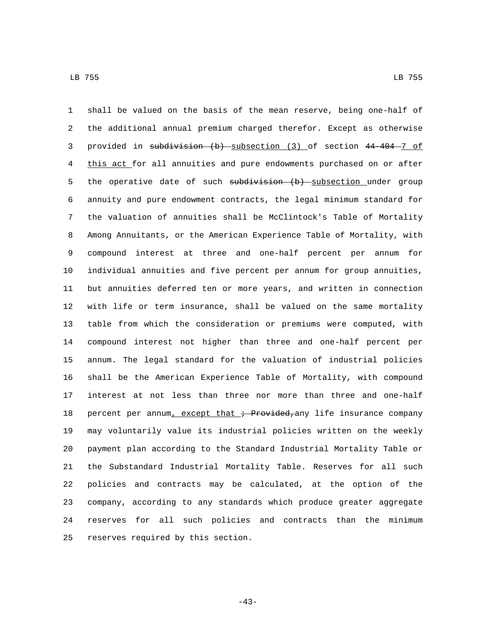shall be valued on the basis of the mean reserve, being one-half of the additional annual premium charged therefor. Except as otherwise provided in subdivision (b) subsection (3) of section 44-404 7 of this act for all annuities and pure endowments purchased on or after 5 the operative date of such subdivision (b) subsection under group annuity and pure endowment contracts, the legal minimum standard for the valuation of annuities shall be McClintock's Table of Mortality Among Annuitants, or the American Experience Table of Mortality, with compound interest at three and one-half percent per annum for individual annuities and five percent per annum for group annuities, but annuities deferred ten or more years, and written in connection with life or term insurance, shall be valued on the same mortality table from which the consideration or premiums were computed, with compound interest not higher than three and one-half percent per annum. The legal standard for the valuation of industrial policies shall be the American Experience Table of Mortality, with compound interest at not less than three nor more than three and one-half 18 percent per annum, except that ; Provided, any life insurance company may voluntarily value its industrial policies written on the weekly payment plan according to the Standard Industrial Mortality Table or the Substandard Industrial Mortality Table. Reserves for all such policies and contracts may be calculated, at the option of the company, according to any standards which produce greater aggregate reserves for all such policies and contracts than the minimum 25 reserves required by this section.

-43-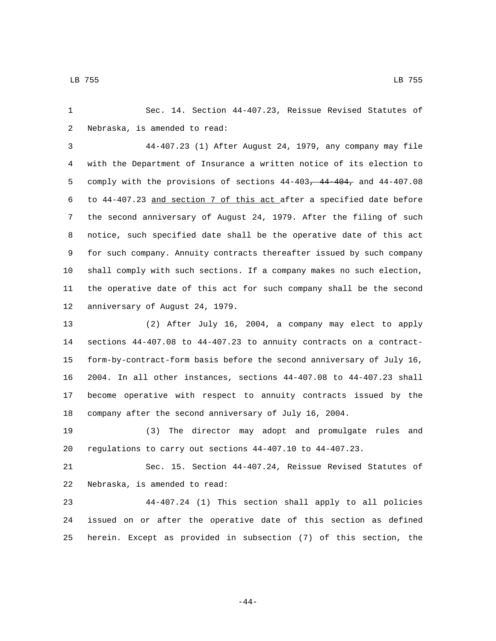Sec. 14. Section 44-407.23, Reissue Revised Statutes of 2 Nebraska, is amended to read:

 44-407.23 (1) After August 24, 1979, any company may file with the Department of Insurance a written notice of its election to comply with the provisions of sections 44-403, 44-404, and 44-407.08 to 44-407.23 and section 7 of this act after a specified date before the second anniversary of August 24, 1979. After the filing of such notice, such specified date shall be the operative date of this act for such company. Annuity contracts thereafter issued by such company shall comply with such sections. If a company makes no such election, the operative date of this act for such company shall be the second 12 anniversary of August 24, 1979.

 (2) After July 16, 2004, a company may elect to apply sections 44-407.08 to 44-407.23 to annuity contracts on a contract- form-by-contract-form basis before the second anniversary of July 16, 2004. In all other instances, sections 44-407.08 to 44-407.23 shall become operative with respect to annuity contracts issued by the company after the second anniversary of July 16, 2004.

 (3) The director may adopt and promulgate rules and regulations to carry out sections 44-407.10 to 44-407.23.

 Sec. 15. Section 44-407.24, Reissue Revised Statutes of 22 Nebraska, is amended to read:

 44-407.24 (1) This section shall apply to all policies issued on or after the operative date of this section as defined herein. Except as provided in subsection (7) of this section, the

-44-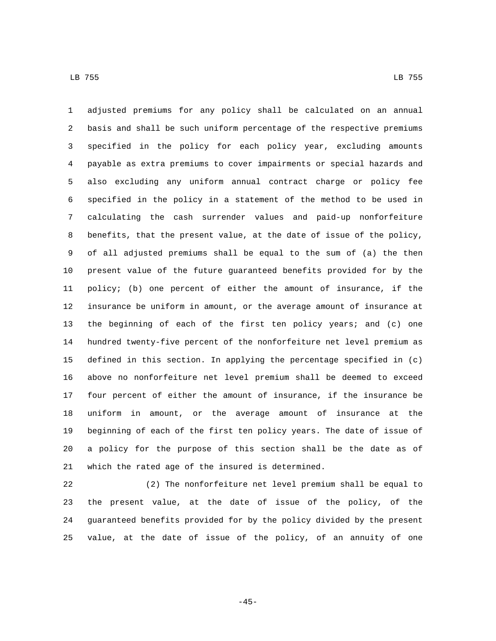adjusted premiums for any policy shall be calculated on an annual basis and shall be such uniform percentage of the respective premiums specified in the policy for each policy year, excluding amounts payable as extra premiums to cover impairments or special hazards and also excluding any uniform annual contract charge or policy fee specified in the policy in a statement of the method to be used in calculating the cash surrender values and paid-up nonforfeiture benefits, that the present value, at the date of issue of the policy, of all adjusted premiums shall be equal to the sum of (a) the then present value of the future guaranteed benefits provided for by the policy; (b) one percent of either the amount of insurance, if the insurance be uniform in amount, or the average amount of insurance at the beginning of each of the first ten policy years; and (c) one hundred twenty-five percent of the nonforfeiture net level premium as defined in this section. In applying the percentage specified in (c) above no nonforfeiture net level premium shall be deemed to exceed four percent of either the amount of insurance, if the insurance be uniform in amount, or the average amount of insurance at the beginning of each of the first ten policy years. The date of issue of a policy for the purpose of this section shall be the date as of 21 which the rated age of the insured is determined.

 (2) The nonforfeiture net level premium shall be equal to the present value, at the date of issue of the policy, of the guaranteed benefits provided for by the policy divided by the present value, at the date of issue of the policy, of an annuity of one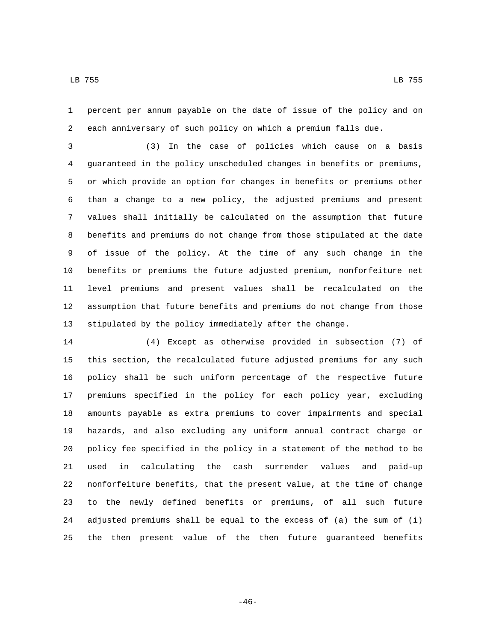percent per annum payable on the date of issue of the policy and on each anniversary of such policy on which a premium falls due.

 (3) In the case of policies which cause on a basis guaranteed in the policy unscheduled changes in benefits or premiums, or which provide an option for changes in benefits or premiums other than a change to a new policy, the adjusted premiums and present values shall initially be calculated on the assumption that future benefits and premiums do not change from those stipulated at the date of issue of the policy. At the time of any such change in the benefits or premiums the future adjusted premium, nonforfeiture net level premiums and present values shall be recalculated on the assumption that future benefits and premiums do not change from those stipulated by the policy immediately after the change.

 (4) Except as otherwise provided in subsection (7) of this section, the recalculated future adjusted premiums for any such policy shall be such uniform percentage of the respective future premiums specified in the policy for each policy year, excluding amounts payable as extra premiums to cover impairments and special hazards, and also excluding any uniform annual contract charge or policy fee specified in the policy in a statement of the method to be used in calculating the cash surrender values and paid-up nonforfeiture benefits, that the present value, at the time of change to the newly defined benefits or premiums, of all such future adjusted premiums shall be equal to the excess of (a) the sum of (i) the then present value of the then future guaranteed benefits

-46-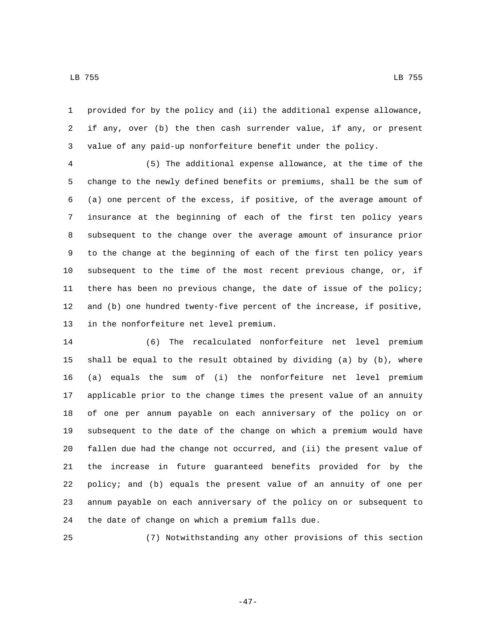provided for by the policy and (ii) the additional expense allowance, if any, over (b) the then cash surrender value, if any, or present value of any paid-up nonforfeiture benefit under the policy.

 (5) The additional expense allowance, at the time of the change to the newly defined benefits or premiums, shall be the sum of (a) one percent of the excess, if positive, of the average amount of insurance at the beginning of each of the first ten policy years subsequent to the change over the average amount of insurance prior to the change at the beginning of each of the first ten policy years subsequent to the time of the most recent previous change, or, if there has been no previous change, the date of issue of the policy; and (b) one hundred twenty-five percent of the increase, if positive, 13 in the nonforfeiture net level premium.

 (6) The recalculated nonforfeiture net level premium shall be equal to the result obtained by dividing (a) by (b), where (a) equals the sum of (i) the nonforfeiture net level premium applicable prior to the change times the present value of an annuity of one per annum payable on each anniversary of the policy on or subsequent to the date of the change on which a premium would have fallen due had the change not occurred, and (ii) the present value of the increase in future guaranteed benefits provided for by the policy; and (b) equals the present value of an annuity of one per annum payable on each anniversary of the policy on or subsequent to 24 the date of change on which a premium falls due.

(7) Notwithstanding any other provisions of this section

-47-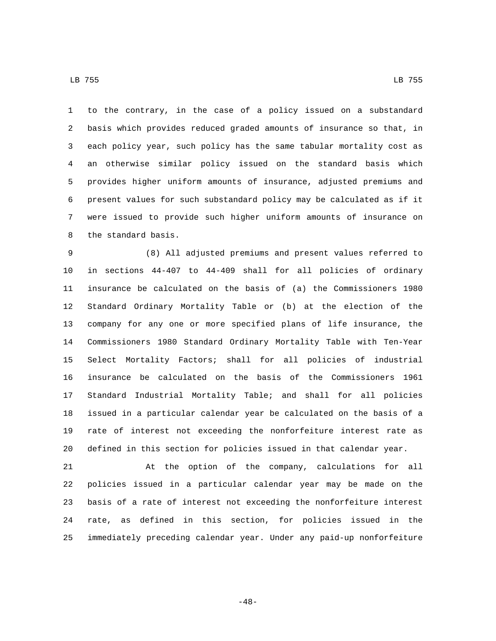to the contrary, in the case of a policy issued on a substandard basis which provides reduced graded amounts of insurance so that, in each policy year, such policy has the same tabular mortality cost as an otherwise similar policy issued on the standard basis which provides higher uniform amounts of insurance, adjusted premiums and present values for such substandard policy may be calculated as if it were issued to provide such higher uniform amounts of insurance on 8 the standard basis.

 (8) All adjusted premiums and present values referred to in sections 44-407 to 44-409 shall for all policies of ordinary insurance be calculated on the basis of (a) the Commissioners 1980 Standard Ordinary Mortality Table or (b) at the election of the company for any one or more specified plans of life insurance, the Commissioners 1980 Standard Ordinary Mortality Table with Ten-Year Select Mortality Factors; shall for all policies of industrial insurance be calculated on the basis of the Commissioners 1961 Standard Industrial Mortality Table; and shall for all policies issued in a particular calendar year be calculated on the basis of a rate of interest not exceeding the nonforfeiture interest rate as defined in this section for policies issued in that calendar year.

 At the option of the company, calculations for all policies issued in a particular calendar year may be made on the basis of a rate of interest not exceeding the nonforfeiture interest rate, as defined in this section, for policies issued in the immediately preceding calendar year. Under any paid-up nonforfeiture

-48-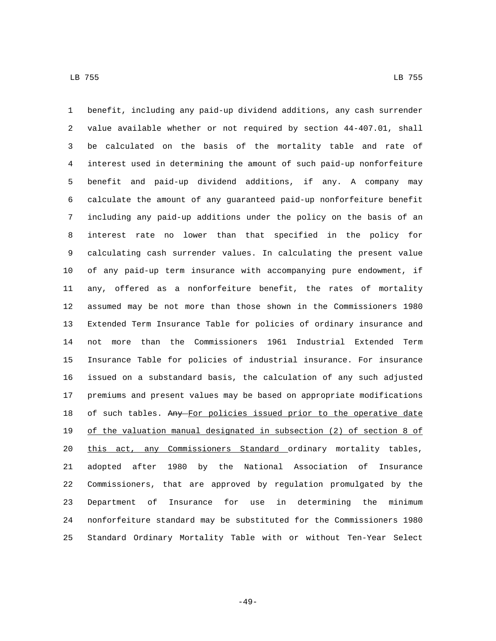benefit, including any paid-up dividend additions, any cash surrender value available whether or not required by section 44-407.01, shall be calculated on the basis of the mortality table and rate of interest used in determining the amount of such paid-up nonforfeiture benefit and paid-up dividend additions, if any. A company may calculate the amount of any guaranteed paid-up nonforfeiture benefit including any paid-up additions under the policy on the basis of an interest rate no lower than that specified in the policy for calculating cash surrender values. In calculating the present value of any paid-up term insurance with accompanying pure endowment, if any, offered as a nonforfeiture benefit, the rates of mortality assumed may be not more than those shown in the Commissioners 1980 Extended Term Insurance Table for policies of ordinary insurance and not more than the Commissioners 1961 Industrial Extended Term Insurance Table for policies of industrial insurance. For insurance issued on a substandard basis, the calculation of any such adjusted premiums and present values may be based on appropriate modifications 18 of such tables. Any For policies issued prior to the operative date of the valuation manual designated in subsection (2) of section 8 of 20 this act, any Commissioners Standard ordinary mortality tables, adopted after 1980 by the National Association of Insurance Commissioners, that are approved by regulation promulgated by the Department of Insurance for use in determining the minimum nonforfeiture standard may be substituted for the Commissioners 1980 Standard Ordinary Mortality Table with or without Ten-Year Select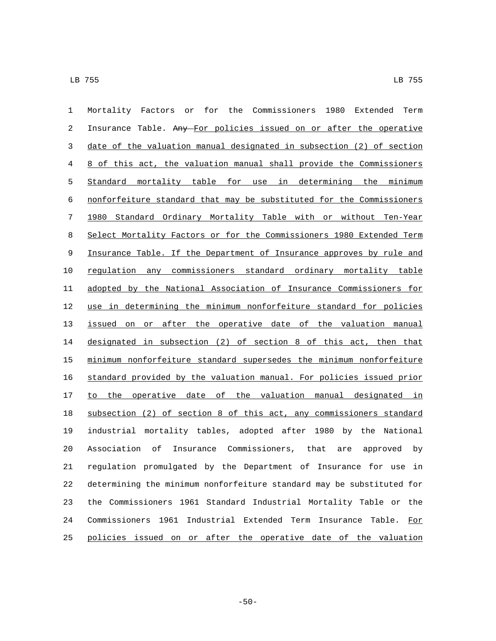| 1  | Mortality Factors or for the Commissioners 1980 Extended Term         |
|----|-----------------------------------------------------------------------|
| 2  | Insurance Table. Any For policies issued on or after the operative    |
| 3  | date of the valuation manual designated in subsection (2) of section  |
| 4  | 8 of this act, the valuation manual shall provide the Commissioners   |
| 5  | Standard mortality table for use in determining the minimum           |
| 6  | nonforfeiture standard that may be substituted for the Commissioners  |
| 7  | 1980 Standard Ordinary Mortality Table with or without Ten-Year       |
| 8  | Select Mortality Factors or for the Commissioners 1980 Extended Term  |
| 9  | Insurance Table. If the Department of Insurance approves by rule and  |
| 10 | regulation any commissioners standard ordinary mortality table        |
| 11 | adopted by the National Association of Insurance Commissioners for    |
| 12 | use in determining the minimum nonforfeiture standard for policies    |
| 13 | issued on or after the operative date of the valuation manual         |
| 14 | designated in subsection (2) of section 8 of this act, then that      |
| 15 | minimum nonforfeiture standard supersedes the minimum nonforfeiture   |
| 16 | standard provided by the valuation manual. For policies issued prior  |
| 17 | to the operative date of the valuation manual designated in           |
| 18 | subsection (2) of section 8 of this act, any commissioners standard   |
| 19 | industrial mortality tables, adopted after 1980 by the National       |
| 20 | Insurance Commissioners, that<br>Association<br>оf<br>are approved by |
| 21 | regulation promulgated by the Department of Insurance for use in      |
| 22 | determining the minimum nonforfeiture standard may be substituted for |
| 23 | the Commissioners 1961 Standard Industrial Mortality Table or the     |
| 24 | Commissioners 1961 Industrial Extended Term Insurance Table.<br>For   |
| 25 | policies issued on or after the operative date of the valuation       |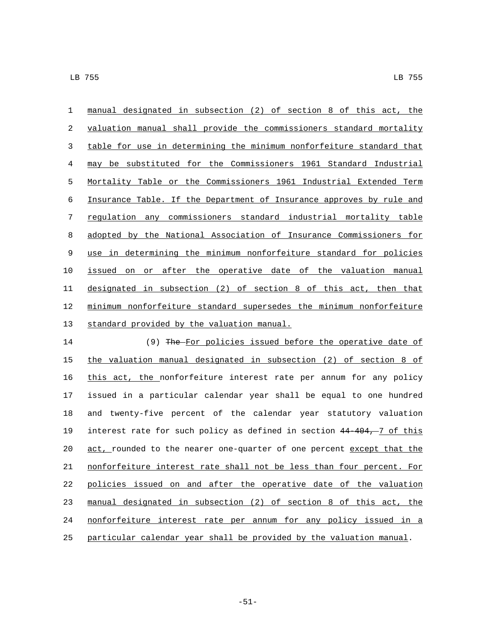manual designated in subsection (2) of section 8 of this act, the valuation manual shall provide the commissioners standard mortality table for use in determining the minimum nonforfeiture standard that may be substituted for the Commissioners 1961 Standard Industrial Mortality Table or the Commissioners 1961 Industrial Extended Term Insurance Table. If the Department of Insurance approves by rule and regulation any commissioners standard industrial mortality table adopted by the National Association of Insurance Commissioners for use in determining the minimum nonforfeiture standard for policies issued on or after the operative date of the valuation manual designated in subsection (2) of section 8 of this act, then that minimum nonforfeiture standard supersedes the minimum nonforfeiture 13 standard provided by the valuation manual.

 (9) The For policies issued before the operative date of the valuation manual designated in subsection (2) of section 8 of this act, the nonforfeiture interest rate per annum for any policy issued in a particular calendar year shall be equal to one hundred and twenty-five percent of the calendar year statutory valuation interest rate for such policy as defined in section 44-404, 7 of this 20 act, rounded to the nearer one-quarter of one percent except that the nonforfeiture interest rate shall not be less than four percent. For policies issued on and after the operative date of the valuation manual designated in subsection (2) of section 8 of this act, the nonforfeiture interest rate per annum for any policy issued in a particular calendar year shall be provided by the valuation manual.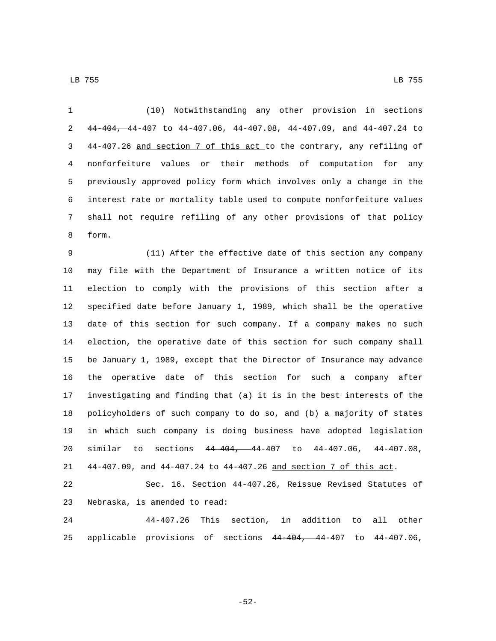(10) Notwithstanding any other provision in sections 44-404, 44-407 to 44-407.06, 44-407.08, 44-407.09, and 44-407.24 to 44-407.26 and section 7 of this act to the contrary, any refiling of nonforfeiture values or their methods of computation for any previously approved policy form which involves only a change in the interest rate or mortality table used to compute nonforfeiture values shall not require refiling of any other provisions of that policy 8 form.

 (11) After the effective date of this section any company may file with the Department of Insurance a written notice of its election to comply with the provisions of this section after a specified date before January 1, 1989, which shall be the operative date of this section for such company. If a company makes no such election, the operative date of this section for such company shall be January 1, 1989, except that the Director of Insurance may advance the operative date of this section for such a company after investigating and finding that (a) it is in the best interests of the policyholders of such company to do so, and (b) a majority of states in which such company is doing business have adopted legislation similar to sections 44-404, 44-407 to 44-407.06, 44-407.08, 44-407.09, and 44-407.24 to 44-407.26 and section 7 of this act.

 Sec. 16. Section 44-407.26, Reissue Revised Statutes of 23 Nebraska, is amended to read:

 44-407.26 This section, in addition to all other applicable provisions of sections 44-404, 44-407 to 44-407.06,

-52-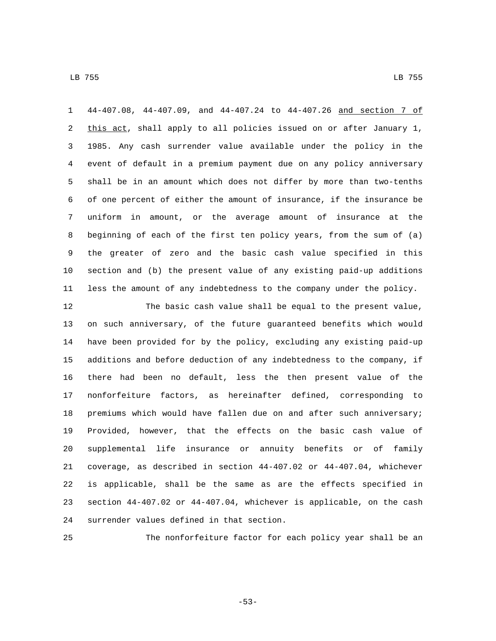44-407.08, 44-407.09, and 44-407.24 to 44-407.26 and section 7 of 2 this act, shall apply to all policies issued on or after January 1, 1985. Any cash surrender value available under the policy in the event of default in a premium payment due on any policy anniversary shall be in an amount which does not differ by more than two-tenths of one percent of either the amount of insurance, if the insurance be uniform in amount, or the average amount of insurance at the beginning of each of the first ten policy years, from the sum of (a) the greater of zero and the basic cash value specified in this section and (b) the present value of any existing paid-up additions less the amount of any indebtedness to the company under the policy.

 The basic cash value shall be equal to the present value, on such anniversary, of the future guaranteed benefits which would have been provided for by the policy, excluding any existing paid-up additions and before deduction of any indebtedness to the company, if there had been no default, less the then present value of the nonforfeiture factors, as hereinafter defined, corresponding to premiums which would have fallen due on and after such anniversary; Provided, however, that the effects on the basic cash value of supplemental life insurance or annuity benefits or of family coverage, as described in section 44-407.02 or 44-407.04, whichever is applicable, shall be the same as are the effects specified in section 44-407.02 or 44-407.04, whichever is applicable, on the cash 24 surrender values defined in that section.

The nonforfeiture factor for each policy year shall be an

-53-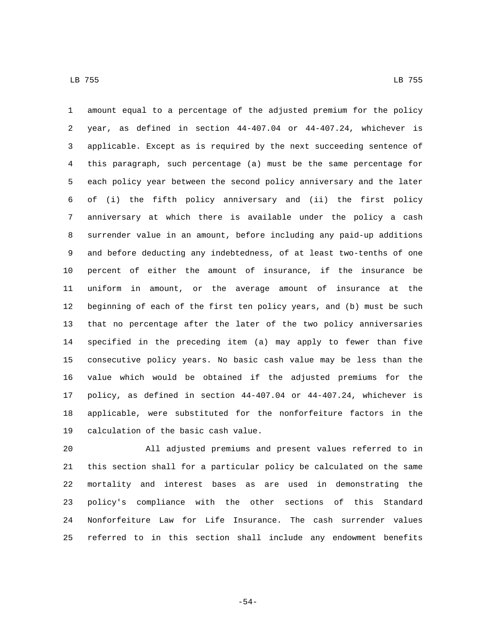amount equal to a percentage of the adjusted premium for the policy year, as defined in section 44-407.04 or 44-407.24, whichever is applicable. Except as is required by the next succeeding sentence of this paragraph, such percentage (a) must be the same percentage for each policy year between the second policy anniversary and the later of (i) the fifth policy anniversary and (ii) the first policy anniversary at which there is available under the policy a cash surrender value in an amount, before including any paid-up additions and before deducting any indebtedness, of at least two-tenths of one percent of either the amount of insurance, if the insurance be uniform in amount, or the average amount of insurance at the beginning of each of the first ten policy years, and (b) must be such that no percentage after the later of the two policy anniversaries specified in the preceding item (a) may apply to fewer than five consecutive policy years. No basic cash value may be less than the value which would be obtained if the adjusted premiums for the policy, as defined in section 44-407.04 or 44-407.24, whichever is applicable, were substituted for the nonforfeiture factors in the 19 calculation of the basic cash value.

 All adjusted premiums and present values referred to in this section shall for a particular policy be calculated on the same mortality and interest bases as are used in demonstrating the policy's compliance with the other sections of this Standard Nonforfeiture Law for Life Insurance. The cash surrender values referred to in this section shall include any endowment benefits

-54-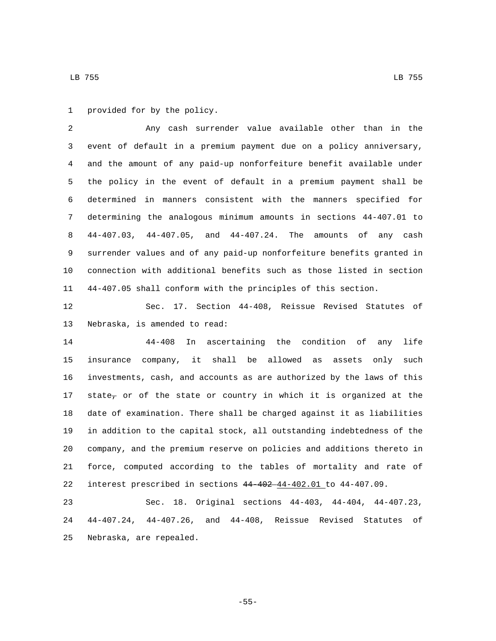1 provided for by the policy.

 Any cash surrender value available other than in the event of default in a premium payment due on a policy anniversary, and the amount of any paid-up nonforfeiture benefit available under the policy in the event of default in a premium payment shall be determined in manners consistent with the manners specified for determining the analogous minimum amounts in sections 44-407.01 to 44-407.03, 44-407.05, and 44-407.24. The amounts of any cash surrender values and of any paid-up nonforfeiture benefits granted in connection with additional benefits such as those listed in section 44-407.05 shall conform with the principles of this section.

 Sec. 17. Section 44-408, Reissue Revised Statutes of 13 Nebraska, is amended to read:

 44-408 In ascertaining the condition of any life insurance company, it shall be allowed as assets only such investments, cash, and accounts as are authorized by the laws of this 17 state<sub>7</sub> or of the state or country in which it is organized at the date of examination. There shall be charged against it as liabilities in addition to the capital stock, all outstanding indebtedness of the company, and the premium reserve on policies and additions thereto in force, computed according to the tables of mortality and rate of interest prescribed in sections 44-402 44-402.01 to 44-407.09.

 Sec. 18. Original sections 44-403, 44-404, 44-407.23, 44-407.24, 44-407.26, and 44-408, Reissue Revised Statutes of 25 Nebraska, are repealed.

LB 755 LB 755

-55-